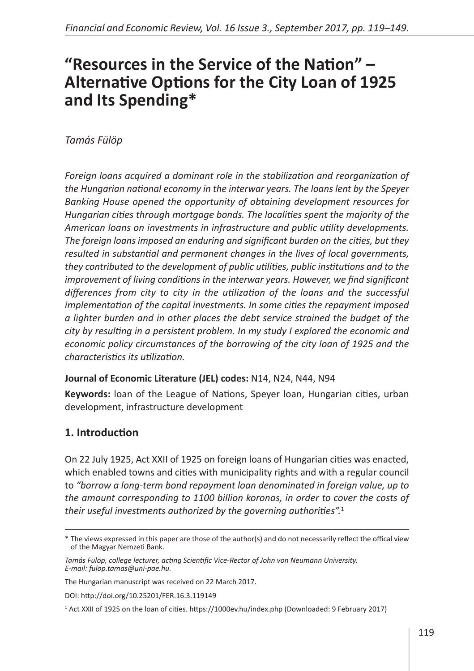# **"Resources in the Service of the Nation" – Alternative Options for the City Loan of 1925 and Its Spending\***

#### *Tamás Fülöp*

*Foreign loans acquired a dominant role in the stabilization and reorganization of the Hungarian national economy in the interwar years. The loans lent by the Speyer Banking House opened the opportunity of obtaining development resources for Hungarian cities through mortgage bonds. The localities spent the majority of the American loans on investments in infrastructure and public utility developments. The foreign loans imposed an enduring and significant burden on the cities, but they resulted in substantial and permanent changes in the lives of local governments, they contributed to the development of public utilities, public institutions and to the improvement of living conditions in the interwar years. However, we find significant differences from city to city in the utilization of the loans and the successful implementation of the capital investments. In some cities the repayment imposed a lighter burden and in other places the debt service strained the budget of the city by resulting in a persistent problem. In my study I explored the economic and economic policy circumstances of the borrowing of the city loan of 1925 and the characteristics its utilization.* 

#### **Journal of Economic Literature (JEL) codes:** N14, N24, N44, N94

**Keywords:** loan of the League of Nations, Speyer loan, Hungarian cities, urban development, infrastructure development

### **1. Introduction**

On 22 July 1925, Act XXII of 1925 on foreign loans of Hungarian cities was enacted, which enabled towns and cities with municipality rights and with a regular council to *"borrow a long-term bond repayment loan denominated in foreign value, up to the amount corresponding to 1100 billion koronas, in order to cover the costs of their useful investments authorized by the governing authorities".*<sup>1</sup>

DOI:<http://doi.org/10.25201/FER.16.3.119149>

<sup>\*</sup> The views expressed in this paper are those of the author(s) and do not necessarily reflect the offical view of the Magyar Nemzeti Bank.

*Tamás Fülöp, college lecturer, acting Scientific Vice-Rector of John von Neumann University. E-mail: fulop.tamas@uni-pae.hu.*

The Hungarian manuscript was received on 22 March 2017.

<sup>1</sup> Act XXII of 1925 on the loan of cities.<https://1000ev.hu/index.php> (Downloaded: 9 February 2017)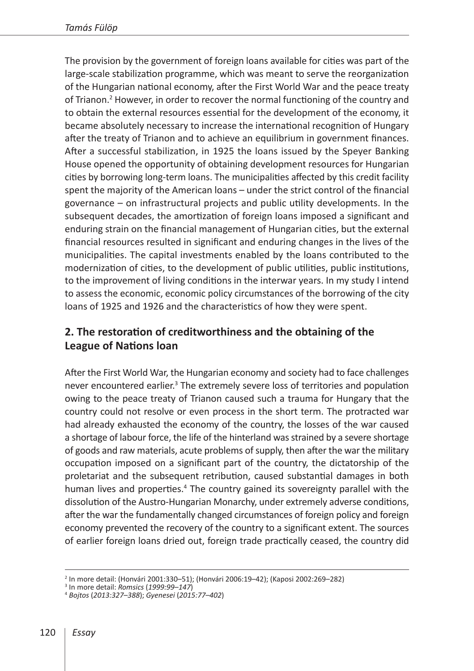The provision by the government of foreign loans available for cities was part of the large-scale stabilization programme, which was meant to serve the reorganization of the Hungarian national economy, after the First World War and the peace treaty of Trianon.<sup>2</sup> However, in order to recover the normal functioning of the country and to obtain the external resources essential for the development of the economy, it became absolutely necessary to increase the international recognition of Hungary after the treaty of Trianon and to achieve an equilibrium in government finances. After a successful stabilization, in 1925 the loans issued by the Speyer Banking House opened the opportunity of obtaining development resources for Hungarian cities by borrowing long-term loans. The municipalities affected by this credit facility spent the majority of the American loans – under the strict control of the financial governance – on infrastructural projects and public utility developments. In the subsequent decades, the amortization of foreign loans imposed a significant and enduring strain on the financial management of Hungarian cities, but the external financial resources resulted in significant and enduring changes in the lives of the municipalities. The capital investments enabled by the loans contributed to the modernization of cities, to the development of public utilities, public institutions, to the improvement of living conditions in the interwar years. In my study I intend to assess the economic, economic policy circumstances of the borrowing of the city loans of 1925 and 1926 and the characteristics of how they were spent.

# **2. The restoration of creditworthiness and the obtaining of the League of Nations loan**

After the First World War, the Hungarian economy and society had to face challenges never encountered earlier.<sup>3</sup> The extremely severe loss of territories and population owing to the peace treaty of Trianon caused such a trauma for Hungary that the country could not resolve or even process in the short term. The protracted war had already exhausted the economy of the country, the losses of the war caused a shortage of labour force, the life of the hinterland was strained by a severe shortage of goods and raw materials, acute problems of supply, then after the war the military occupation imposed on a significant part of the country, the dictatorship of the proletariat and the subsequent retribution, caused substantial damages in both human lives and properties.<sup>4</sup> The country gained its sovereignty parallel with the dissolution of the Austro-Hungarian Monarchy, under extremely adverse conditions, after the war the fundamentally changed circumstances of foreign policy and foreign economy prevented the recovery of the country to a significant extent. The sources of earlier foreign loans dried out, foreign trade practically ceased, the country did

<sup>&</sup>lt;sup>2</sup> In more detail: (Honvári 2001:330–51); (Honvári 2006:19–42); (Kaposi 2002:269–282)<br><sup>3</sup> In more detail: *Romsics* (*1999:99–147*)

<sup>3</sup> In more detail: *Romsics* (*1999:99–147*) <sup>4</sup> *Bojtos* (*2013:327–388*); *Gyenesei* (*2015:77–402*)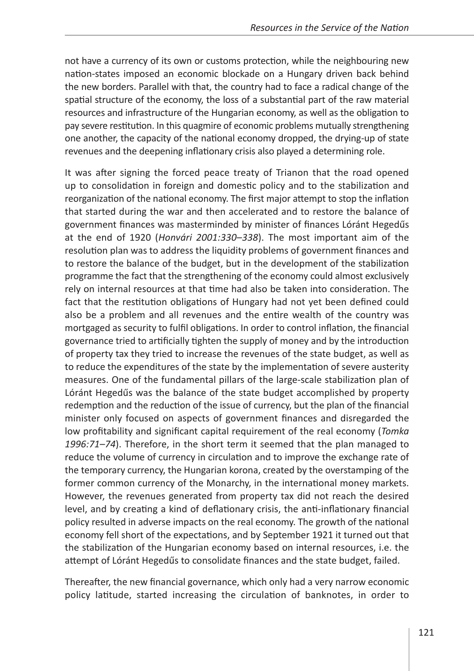not have a currency of its own or customs protection, while the neighbouring new nation-states imposed an economic blockade on a Hungary driven back behind the new borders. Parallel with that, the country had to face a radical change of the spatial structure of the economy, the loss of a substantial part of the raw material resources and infrastructure of the Hungarian economy, as well as the obligation to pay severe restitution. In this quagmire of economic problems mutually strengthening one another, the capacity of the national economy dropped, the drying-up of state revenues and the deepening inflationary crisis also played a determining role.

It was after signing the forced peace treaty of Trianon that the road opened up to consolidation in foreign and domestic policy and to the stabilization and reorganization of the national economy. The first major attempt to stop the inflation that started during the war and then accelerated and to restore the balance of government finances was masterminded by minister of finances Lóránt Hegedűs at the end of 1920 (*Honvári 2001:330–338*). The most important aim of the resolution plan was to address the liquidity problems of government finances and to restore the balance of the budget, but in the development of the stabilization programme the fact that the strengthening of the economy could almost exclusively rely on internal resources at that time had also be taken into consideration. The fact that the restitution obligations of Hungary had not yet been defined could also be a problem and all revenues and the entire wealth of the country was mortgaged as security to fulfil obligations. In order to control inflation, the financial governance tried to artificially tighten the supply of money and by the introduction of property tax they tried to increase the revenues of the state budget, as well as to reduce the expenditures of the state by the implementation of severe austerity measures. One of the fundamental pillars of the large-scale stabilization plan of Lóránt Hegedűs was the balance of the state budget accomplished by property redemption and the reduction of the issue of currency, but the plan of the financial minister only focused on aspects of government finances and disregarded the low profitability and significant capital requirement of the real economy (*Tomka 1996:71–74*). Therefore, in the short term it seemed that the plan managed to reduce the volume of currency in circulation and to improve the exchange rate of the temporary currency, the Hungarian korona, created by the overstamping of the former common currency of the Monarchy, in the international money markets. However, the revenues generated from property tax did not reach the desired level, and by creating a kind of deflationary crisis, the anti-inflationary financial policy resulted in adverse impacts on the real economy. The growth of the national economy fell short of the expectations, and by September 1921 it turned out that the stabilization of the Hungarian economy based on internal resources, i.e. the attempt of Lóránt Hegedűs to consolidate finances and the state budget, failed.

Thereafter, the new financial governance, which only had a very narrow economic policy latitude, started increasing the circulation of banknotes, in order to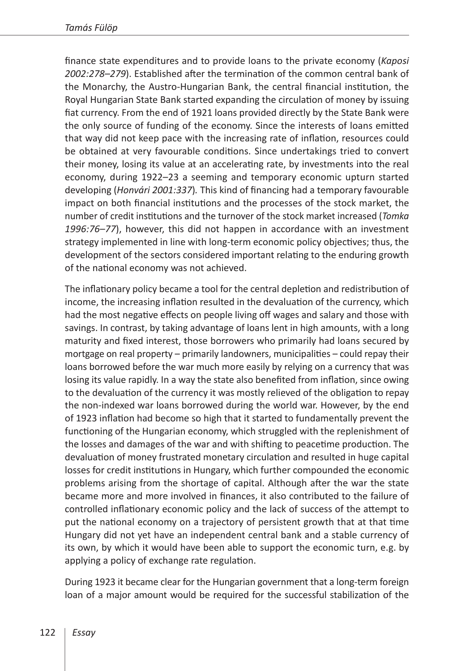finance state expenditures and to provide loans to the private economy (*Kaposi 2002:278–279*). Established after the termination of the common central bank of the Monarchy, the Austro-Hungarian Bank, the central financial institution, the Royal Hungarian State Bank started expanding the circulation of money by issuing fiat currency. From the end of 1921 loans provided directly by the State Bank were the only source of funding of the economy. Since the interests of loans emitted that way did not keep pace with the increasing rate of inflation, resources could be obtained at very favourable conditions. Since undertakings tried to convert their money, losing its value at an accelerating rate, by investments into the real economy, during 1922–23 a seeming and temporary economic upturn started developing (*Honvári 2001:337*)*.* This kind of financing had a temporary favourable impact on both financial institutions and the processes of the stock market, the number of credit institutions and the turnover of the stock market increased (*Tomka 1996:76–77*), however, this did not happen in accordance with an investment strategy implemented in line with long-term economic policy objectives; thus, the development of the sectors considered important relating to the enduring growth of the national economy was not achieved.

The inflationary policy became a tool for the central depletion and redistribution of income, the increasing inflation resulted in the devaluation of the currency, which had the most negative effects on people living off wages and salary and those with savings. In contrast, by taking advantage of loans lent in high amounts, with a long maturity and fixed interest, those borrowers who primarily had loans secured by mortgage on real property – primarily landowners, municipalities – could repay their loans borrowed before the war much more easily by relying on a currency that was losing its value rapidly. In a way the state also benefited from inflation, since owing to the devaluation of the currency it was mostly relieved of the obligation to repay the non-indexed war loans borrowed during the world war. However, by the end of 1923 inflation had become so high that it started to fundamentally prevent the functioning of the Hungarian economy, which struggled with the replenishment of the losses and damages of the war and with shifting to peacetime production. The devaluation of money frustrated monetary circulation and resulted in huge capital losses for credit institutions in Hungary, which further compounded the economic problems arising from the shortage of capital. Although after the war the state became more and more involved in finances, it also contributed to the failure of controlled inflationary economic policy and the lack of success of the attempt to put the national economy on a trajectory of persistent growth that at that time Hungary did not yet have an independent central bank and a stable currency of its own, by which it would have been able to support the economic turn, e.g. by applying a policy of exchange rate regulation.

During 1923 it became clear for the Hungarian government that a long-term foreign loan of a major amount would be required for the successful stabilization of the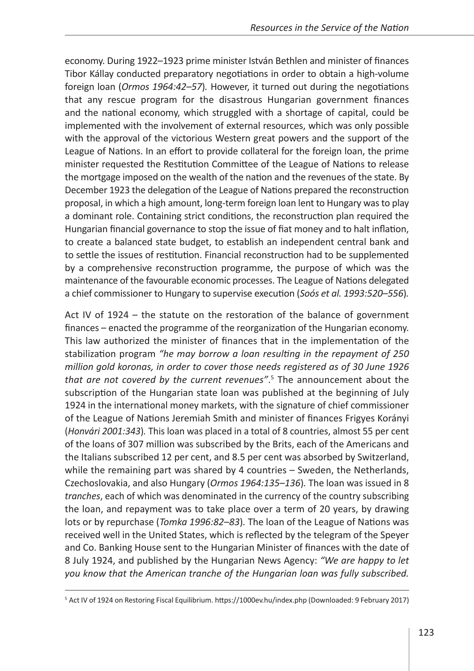economy. During 1922–1923 prime minister István Bethlen and minister of finances Tibor Kállay conducted preparatory negotiations in order to obtain a high-volume foreign loan (*Ormos 1964:42–57*)*.* However, it turned out during the negotiations that any rescue program for the disastrous Hungarian government finances and the national economy, which struggled with a shortage of capital, could be implemented with the involvement of external resources, which was only possible with the approval of the victorious Western great powers and the support of the League of Nations. In an effort to provide collateral for the foreign loan, the prime minister requested the Restitution Committee of the League of Nations to release the mortgage imposed on the wealth of the nation and the revenues of the state. By December 1923 the delegation of the League of Nations prepared the reconstruction proposal, in which a high amount, long-term foreign loan lent to Hungary was to play a dominant role. Containing strict conditions, the reconstruction plan required the Hungarian financial governance to stop the issue of fiat money and to halt inflation, to create a balanced state budget, to establish an independent central bank and to settle the issues of restitution. Financial reconstruction had to be supplemented by a comprehensive reconstruction programme, the purpose of which was the maintenance of the favourable economic processes. The League of Nations delegated a chief commissioner to Hungary to supervise execution (*Soós et al. 1993:520–556*)*.*

Act IV of 1924 – the statute on the restoration of the balance of government finances – enacted the programme of the reorganization of the Hungarian economy. This law authorized the minister of finances that in the implementation of the stabilization program *"he may borrow a loan resulting in the repayment of 250 million gold koronas, in order to cover those needs registered as of 30 June 1926 that are not covered by the current revenues"*. 5 The announcement about the subscription of the Hungarian state loan was published at the beginning of July 1924 in the international money markets, with the signature of chief commissioner of the League of Nations Jeremiah Smith and minister of finances Frigyes Korányi (*Honvári 2001:343*)*.* This loan was placed in a total of 8 countries, almost 55 per cent of the loans of 307 million was subscribed by the Brits, each of the Americans and the Italians subscribed 12 per cent, and 8.5 per cent was absorbed by Switzerland, while the remaining part was shared by 4 countries – Sweden, the Netherlands, Czechoslovakia, and also Hungary (*Ormos 1964:135–136*)*.* The loan was issued in 8 *tranches*, each of which was denominated in the currency of the country subscribing the loan, and repayment was to take place over a term of 20 years, by drawing lots or by repurchase (*Tomka 1996:82–83*)*.* The loan of the League of Nations was received well in the United States, which is reflected by the telegram of the Speyer and Co. Banking House sent to the Hungarian Minister of finances with the date of 8 July 1924, and published by the Hungarian News Agency: *"We are happy to let you know that the American tranche of the Hungarian loan was fully subscribed.* 

<sup>5</sup> Act IV of 1924 on Restoring Fiscal Equilibrium.<https://1000ev.hu/index.php> (Downloaded: 9 February 2017)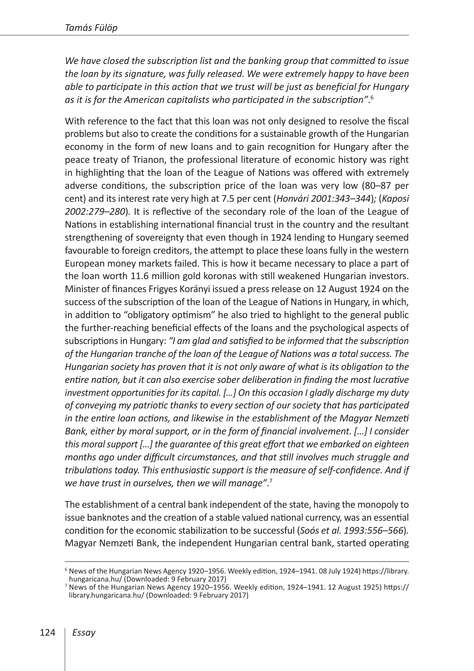*We have closed the subscription list and the banking group that committed to issue the loan by its signature, was fully released. We were extremely happy to have been able to participate in this action that we trust will be just as beneficial for Hungary as it is for the American capitalists who participated in the subscription"*. 6

With reference to the fact that this loan was not only designed to resolve the fiscal problems but also to create the conditions for a sustainable growth of the Hungarian economy in the form of new loans and to gain recognition for Hungary after the peace treaty of Trianon, the professional literature of economic history was right in highlighting that the loan of the League of Nations was offered with extremely adverse conditions, the subscription price of the loan was very low (80*–*87 per cent) and its interest rate very high at 7.5 per cent (*Honvári 2001:343–344*)*;* (*Kaposi 2002:279–280*)*.* It is reflective of the secondary role of the loan of the League of Nations in establishing international financial trust in the country and the resultant strengthening of sovereignty that even though in 1924 lending to Hungary seemed favourable to foreign creditors, the attempt to place these loans fully in the western European money markets failed. This is how it became necessary to place a part of the loan worth 11.6 million gold koronas with still weakened Hungarian investors. Minister of finances Frigyes Korányi issued a press release on 12 August 1924 on the success of the subscription of the loan of the League of Nations in Hungary, in which, in addition to "obligatory optimism" he also tried to highlight to the general public the further-reaching beneficial effects of the loans and the psychological aspects of subscriptions in Hungary: *"I am glad and satisfied to be informed that the subscription of the Hungarian tranche of the loan of the League of Nations was a total success. The Hungarian society has proven that it is not only aware of what is its obligation to the entire nation, but it can also exercise sober deliberation in finding the most lucrative investment opportunities for its capital. […] On this occasion I gladly discharge my duty of conveying my patriotic thanks to every section of our society that has participated in the entire loan actions, and likewise in the establishment of the Magyar Nemzeti Bank, either by moral support, or in the form of financial involvement. […] I consider this moral support […] the guarantee of this great effort that we embarked on eighteen months ago under difficult circumstances, and that still involves much struggle and tribulations today. This enthusiastic support is the measure of self-confidence. And if we have trust in ourselves, then we will manage"*. 7

The establishment of a central bank independent of the state, having the monopoly to issue banknotes and the creation of a stable valued national currency, was an essential condition for the economic stabilization to be successful (*Soós et al. 1993:556–566*)*.* Magyar Nemzeti Bank, the independent Hungarian central bank, started operating

<sup>6</sup> News of the Hungarian News Agency 1920*–*1956. Weekly edition, 1924–1941. 08 July 1924) [https://library.](https://library.hungaricana.hu/)

<sup>&</sup>lt;sup>7</sup> News of the Hungarian News Agency 1920–1956. Weekly edition, 1924–1941. 12 August 1925) [https://](https://library.hungaricana.hu/) [library.hungaricana.hu/](https://library.hungaricana.hu/) (Downloaded: 9 February 2017)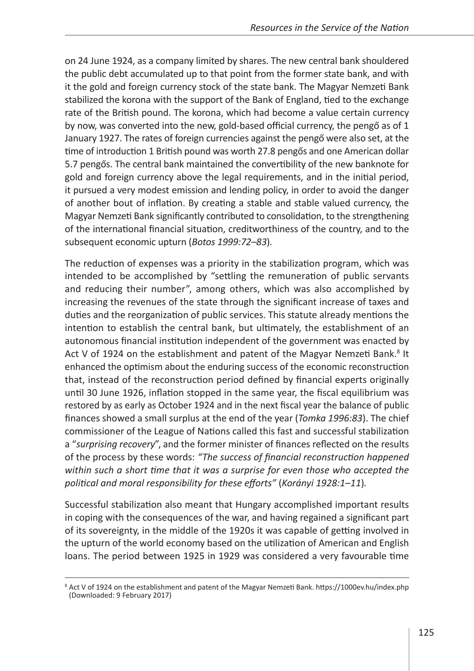on 24 June 1924, as a company limited by shares. The new central bank shouldered the public debt accumulated up to that point from the former state bank, and with it the gold and foreign currency stock of the state bank. The Magyar Nemzeti Bank stabilized the korona with the support of the Bank of England, tied to the exchange rate of the British pound. The korona, which had become a value certain currency by now, was converted into the new, gold-based official currency, the pengő as of 1 January 1927. The rates of foreign currencies against the pengő were also set, at the time of introduction 1 British pound was worth 27.8 pengős and one American dollar 5.7 pengős. The central bank maintained the convertibility of the new banknote for gold and foreign currency above the legal requirements, and in the initial period, it pursued a very modest emission and lending policy, in order to avoid the danger of another bout of inflation. By creating a stable and stable valued currency, the Magyar Nemzeti Bank significantly contributed to consolidation, to the strengthening of the international financial situation, creditworthiness of the country, and to the subsequent economic upturn (*Botos 1999:72–83*)*.*

The reduction of expenses was a priority in the stabilization program, which was intended to be accomplished by "settling the remuneration of public servants and reducing their number", among others, which was also accomplished by increasing the revenues of the state through the significant increase of taxes and duties and the reorganization of public services. This statute already mentions the intention to establish the central bank, but ultimately, the establishment of an autonomous financial institution independent of the government was enacted by Act V of 1924 on the establishment and patent of the Magyar Nemzeti Bank.<sup>8</sup> It enhanced the optimism about the enduring success of the economic reconstruction that, instead of the reconstruction period defined by financial experts originally until 30 June 1926, inflation stopped in the same year, the fiscal equilibrium was restored by as early as October 1924 and in the next fiscal year the balance of public finances showed a small surplus at the end of the year (*Tomka 1996:83*). The chief commissioner of the League of Nations called this fast and successful stabilization a "*surprising recovery*", and the former minister of finances reflected on the results of the process by these words: *"The success of financial reconstruction happened within such a short time that it was a surprise for even those who accepted the political and moral responsibility for these efforts"* (*Korányi 1928:1–11*)*.*

Successful stabilization also meant that Hungary accomplished important results in coping with the consequences of the war, and having regained a significant part of its sovereignty, in the middle of the 1920s it was capable of getting involved in the upturn of the world economy based on the utilization of American and English loans. The period between 1925 in 1929 was considered a very favourable time

<sup>&</sup>lt;sup>8</sup> Act V of 1924 on the establishment and patent of the Magyar Nemzeti Bank.<https://1000ev.hu/index.php> (Downloaded: 9 February 2017)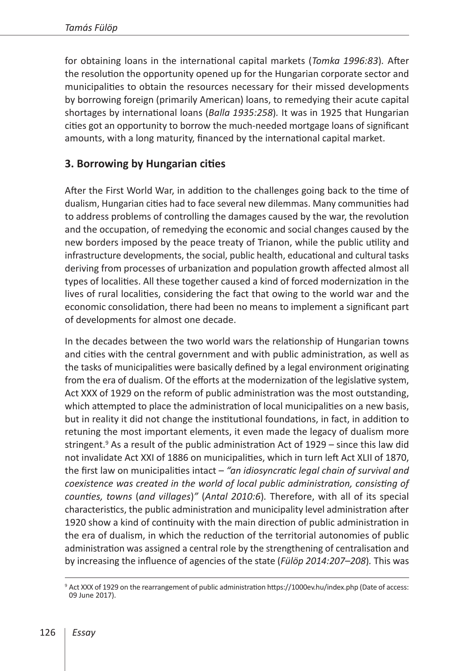for obtaining loans in the international capital markets (*Tomka 1996:83*)*.* After the resolution the opportunity opened up for the Hungarian corporate sector and municipalities to obtain the resources necessary for their missed developments by borrowing foreign (primarily American) loans, to remedying their acute capital shortages by international loans (*Balla 1935:258*)*.* It was in 1925 that Hungarian cities got an opportunity to borrow the much-needed mortgage loans of significant amounts, with a long maturity, financed by the international capital market.

## **3. Borrowing by Hungarian cities**

After the First World War, in addition to the challenges going back to the time of dualism, Hungarian cities had to face several new dilemmas. Many communities had to address problems of controlling the damages caused by the war, the revolution and the occupation, of remedying the economic and social changes caused by the new borders imposed by the peace treaty of Trianon, while the public utility and infrastructure developments, the social, public health, educational and cultural tasks deriving from processes of urbanization and population growth affected almost all types of localities. All these together caused a kind of forced modernization in the lives of rural localities, considering the fact that owing to the world war and the economic consolidation, there had been no means to implement a significant part of developments for almost one decade.

In the decades between the two world wars the relationship of Hungarian towns and cities with the central government and with public administration, as well as the tasks of municipalities were basically defined by a legal environment originating from the era of dualism. Of the efforts at the modernization of the legislative system, Act XXX of 1929 on the reform of public administration was the most outstanding, which attempted to place the administration of local municipalities on a new basis, but in reality it did not change the institutional foundations, in fact, in addition to retuning the most important elements, it even made the legacy of dualism more stringent.<sup>9</sup> As a result of the public administration Act of 1929 – since this law did not invalidate Act XXI of 1886 on municipalities, which in turn left Act XLII of 1870, the first law on municipalities intact – *"an idiosyncratic legal chain of survival and coexistence was created in the world of local public administration, consisting of counties, towns* (*and villages*)*"* (*Antal 2010:6*)*.* Therefore, with all of its special characteristics, the public administration and municipality level administration after 1920 show a kind of continuity with the main direction of public administration in the era of dualism, in which the reduction of the territorial autonomies of public administration was assigned a central role by the strengthening of centralisation and by increasing the influence of agencies of the state (*Fülöp 2014:207–208*)*.* This was

<sup>&</sup>lt;sup>9</sup> Act XXX of 1929 on the rearrangement of public administration https://1000ev.hu/index.php (Date of access: 09 June 2017).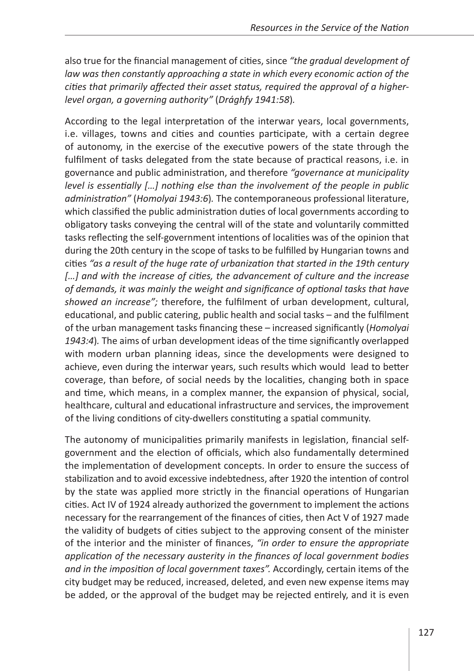also true for the financial management of cities, since *"the gradual development of law was then constantly approaching a state in which every economic action of the cities that primarily affected their asset status, required the approval of a higherlevel organ, a governing authority"* (*Drághfy 1941:58*)*.*

According to the legal interpretation of the interwar years, local governments, i.e. villages, towns and cities and counties participate, with a certain degree of autonomy, in the exercise of the executive powers of the state through the fulfilment of tasks delegated from the state because of practical reasons, i.e. in governance and public administration, and therefore *"governance at municipality level is essentially […] nothing else than the involvement of the people in public administration"* (*Homolyai 1943:6*)*.* The contemporaneous professional literature, which classified the public administration duties of local governments according to obligatory tasks conveying the central will of the state and voluntarily committed tasks reflecting the self-government intentions of localities was of the opinion that during the 20th century in the scope of tasks to be fulfilled by Hungarian towns and cities *"as a result of the huge rate of urbanization that started in the 19th century*  [...] and with the increase of cities, the advancement of culture and the increase *of demands, it was mainly the weight and significance of optional tasks that have showed an increase";* therefore, the fulfilment of urban development, cultural, educational, and public catering, public health and social tasks – and the fulfilment of the urban management tasks financing these – increased significantly (*Homolyai 1943:4*)*.* The aims of urban development ideas of the time significantly overlapped with modern urban planning ideas, since the developments were designed to achieve, even during the interwar years, such results which would lead to better coverage, than before, of social needs by the localities, changing both in space and time, which means, in a complex manner, the expansion of physical, social, healthcare, cultural and educational infrastructure and services, the improvement of the living conditions of city-dwellers constituting a spatial community.

The autonomy of municipalities primarily manifests in legislation, financial selfgovernment and the election of officials, which also fundamentally determined the implementation of development concepts. In order to ensure the success of stabilization and to avoid excessive indebtedness, after 1920 the intention of control by the state was applied more strictly in the financial operations of Hungarian cities. Act IV of 1924 already authorized the government to implement the actions necessary for the rearrangement of the finances of cities, then Act V of 1927 made the validity of budgets of cities subject to the approving consent of the minister of the interior and the minister of finances, *"in order to ensure the appropriate application of the necessary austerity in the finances of local government bodies and in the imposition of local government taxes".* Accordingly, certain items of the city budget may be reduced, increased, deleted, and even new expense items may be added, or the approval of the budget may be rejected entirely, and it is even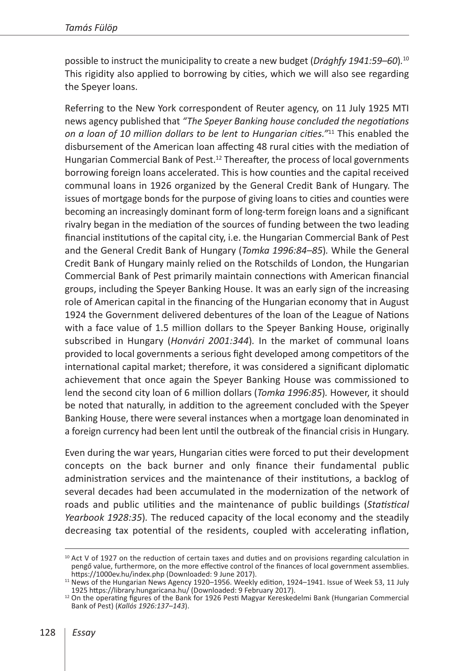possible to instruct the municipality to create a new budget (*Drághfy 1941:59–60*)*.* 10 This rigidity also applied to borrowing by cities, which we will also see regarding the Speyer loans.

Referring to the New York correspondent of Reuter agency, on 11 July 1925 MTI news agency published that *"The Speyer Banking house concluded the negotiations on a loan of 10 million dollars to be lent to Hungarian cities."*11 This enabled the disbursement of the American loan affecting 48 rural cities with the mediation of Hungarian Commercial Bank of Pest.<sup>12</sup> Thereafter, the process of local governments borrowing foreign loans accelerated. This is how counties and the capital received communal loans in 1926 organized by the General Credit Bank of Hungary. The issues of mortgage bonds for the purpose of giving loans to cities and counties were becoming an increasingly dominant form of long-term foreign loans and a significant rivalry began in the mediation of the sources of funding between the two leading financial institutions of the capital city, i.e. the Hungarian Commercial Bank of Pest and the General Credit Bank of Hungary (*Tomka 1996:84–85*)*.* While the General Credit Bank of Hungary mainly relied on the Rotschilds of London, the Hungarian Commercial Bank of Pest primarily maintain connections with American financial groups, including the Speyer Banking House. It was an early sign of the increasing role of American capital in the financing of the Hungarian economy that in August 1924 the Government delivered debentures of the loan of the League of Nations with a face value of 1.5 million dollars to the Speyer Banking House, originally subscribed in Hungary (*Honvári 2001:344*)*.* In the market of communal loans provided to local governments a serious fight developed among competitors of the international capital market; therefore, it was considered a significant diplomatic achievement that once again the Speyer Banking House was commissioned to lend the second city loan of 6 million dollars (*Tomka 1996:85*)*.* However, it should be noted that naturally, in addition to the agreement concluded with the Speyer Banking House, there were several instances when a mortgage loan denominated in a foreign currency had been lent until the outbreak of the financial crisis in Hungary.

Even during the war years, Hungarian cities were forced to put their development concepts on the back burner and only finance their fundamental public administration services and the maintenance of their institutions, a backlog of several decades had been accumulated in the modernization of the network of roads and public utilities and the maintenance of public buildings (*Statistical Yearbook 1928:35*)*.* The reduced capacity of the local economy and the steadily decreasing tax potential of the residents, coupled with accelerating inflation,

 $10$  Act V of 1927 on the reduction of certain taxes and duties and on provisions regarding calculation in pengő value, furthermore, on the more effective control of the finances of local government assemblies.<br>https://1000ev.hu/index.php (Downloaded: 9 June 2017).

<sup>&</sup>lt;sup>11</sup> News of the Hungarian News Agency 1920–1956. Weekly edition, 1924–1941. Issue of Week 53, 11 July<br>1925 https://library.hungaricana.hu/ (Downloaded: 9 February 2017).

<sup>&</sup>lt;sup>12</sup> On the operating figures of the Bank for 1926 Pesti Magyar Kereskedelmi Bank (Hungarian Commercial Bank of Pest) (*Kallós 1926:137–143*).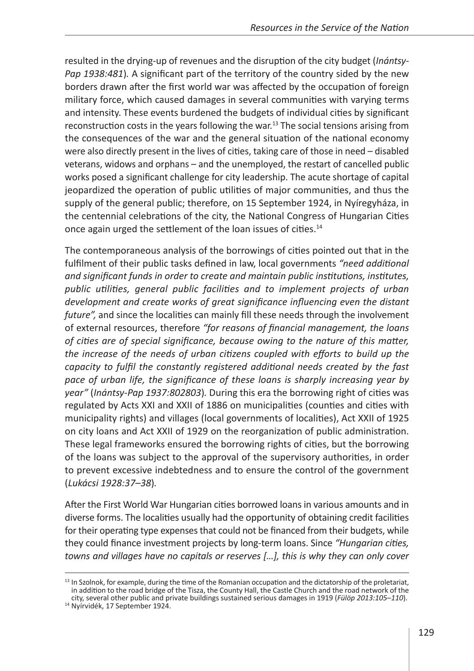resulted in the drying-up of revenues and the disruption of the city budget (*Inántsy-Pap 1938:481*)*.* A significant part of the territory of the country sided by the new borders drawn after the first world war was affected by the occupation of foreign military force, which caused damages in several communities with varying terms and intensity. These events burdened the budgets of individual cities by significant reconstruction costs in the years following the war.<sup>13</sup> The social tensions arising from the consequences of the war and the general situation of the national economy were also directly present in the lives of cities, taking care of those in need – disabled veterans, widows and orphans – and the unemployed, the restart of cancelled public works posed a significant challenge for city leadership. The acute shortage of capital jeopardized the operation of public utilities of major communities, and thus the supply of the general public; therefore, on 15 September 1924, in Nyíregyháza, in the centennial celebrations of the city, the National Congress of Hungarian Cities once again urged the settlement of the loan issues of cities.<sup>14</sup>

The contemporaneous analysis of the borrowings of cities pointed out that in the fulfilment of their public tasks defined in law, local governments *"need additional and significant funds in order to create and maintain public institutions, institutes, public utilities, general public facilities and to implement projects of urban development and create works of great significance influencing even the distant future",* and since the localities can mainly fill these needs through the involvement of external resources, therefore *"for reasons of financial management, the loans of cities are of special significance, because owing to the nature of this matter, the increase of the needs of urban citizens coupled with efforts to build up the capacity to fulfil the constantly registered additional needs created by the fast pace of urban life, the significance of these loans is sharply increasing year by year"* (*Inántsy-Pap 1937:802803*)*.* During this era the borrowing right of cities was regulated by Acts XXI and XXII of 1886 on municipalities (counties and cities with municipality rights) and villages (local governments of localities), Act XXII of 1925 on city loans and Act XXII of 1929 on the reorganization of public administration. These legal frameworks ensured the borrowing rights of cities, but the borrowing of the loans was subject to the approval of the supervisory authorities, in order to prevent excessive indebtedness and to ensure the control of the government (*Lukácsi 1928:37–38*)*.*

After the First World War Hungarian cities borrowed loans in various amounts and in diverse forms. The localities usually had the opportunity of obtaining credit facilities for their operating type expenses that could not be financed from their budgets, while they could finance investment projects by long-term loans. Since *"Hungarian cities, towns and villages have no capitals or reserves […], this is why they can only cover* 

 $<sup>13</sup>$  In Szolnok, for example, during the time of the Romanian occupation and the dictatorship of the proletariat,</sup> in addition to the road bridge of the Tisza, the County Hall, the Castle Church and the road network of the city, several other public and private buildings sustained serious damages in 1919 (*Fülöp 2013:105*–*110*). 14 Nyírvidék, 17 September 1924.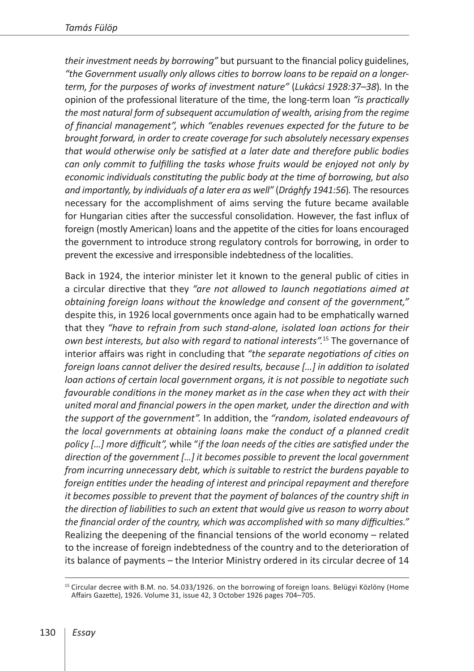*their investment needs by borrowing"* but pursuant to the financial policy guidelines, *"the Government usually only allows cities to borrow loans to be repaid on a longerterm, for the purposes of works of investment nature"* (*Lukácsi 1928:37–38*)*.* In the opinion of the professional literature of the time, the long-term loan *"is practically the most natural form of subsequent accumulation of wealth, arising from the regime of financial management", which "enables revenues expected for the future to be brought forward, in order to create coverage for such absolutely necessary expenses that would otherwise only be satisfied at a later date and therefore public bodies can only commit to fulfilling the tasks whose fruits would be enjoyed not only by economic individuals constituting the public body at the time of borrowing, but also and importantly, by individuals of a later era as well"* (*Drághfy 1941:56*)*.* The resources necessary for the accomplishment of aims serving the future became available for Hungarian cities after the successful consolidation. However, the fast influx of foreign (mostly American) loans and the appetite of the cities for loans encouraged the government to introduce strong regulatory controls for borrowing, in order to prevent the excessive and irresponsible indebtedness of the localities.

Back in 1924, the interior minister let it known to the general public of cities in a circular directive that they *"are not allowed to launch negotiations aimed at obtaining foreign loans without the knowledge and consent of the government,"*  despite this, in 1926 local governments once again had to be emphatically warned that they *"have to refrain from such stand-alone, isolated loan actions for their own best interests, but also with regard to national interests".*15 The governance of interior affairs was right in concluding that *"the separate negotiations of cities on foreign loans cannot deliver the desired results, because […] in addition to isolated loan actions of certain local government organs, it is not possible to negotiate such favourable conditions in the money market as in the case when they act with their united moral and financial powers in the open market, under the direction and with the support of the government".* In addition, the *"random, isolated endeavours of the local governments at obtaining loans make the conduct of a planned credit policy […] more difficult",* while "*if the loan needs of the cities are satisfied under the direction of the government […] it becomes possible to prevent the local government from incurring unnecessary debt, which is suitable to restrict the burdens payable to foreign entities under the heading of interest and principal repayment and therefore it becomes possible to prevent that the payment of balances of the country shift in the direction of liabilities to such an extent that would give us reason to worry about the financial order of the country, which was accomplished with so many difficulties."* Realizing the deepening of the financial tensions of the world economy – related to the increase of foreign indebtedness of the country and to the deterioration of its balance of payments – the Interior Ministry ordered in its circular decree of 14

<sup>&</sup>lt;sup>15</sup> Circular decree with B.M. no. 54.033/1926. on the borrowing of foreign loans. Belügyi Közlöny (Home Affairs Gazette), 1926. Volume 31, issue 42, 3 October 1926 pages 704–705.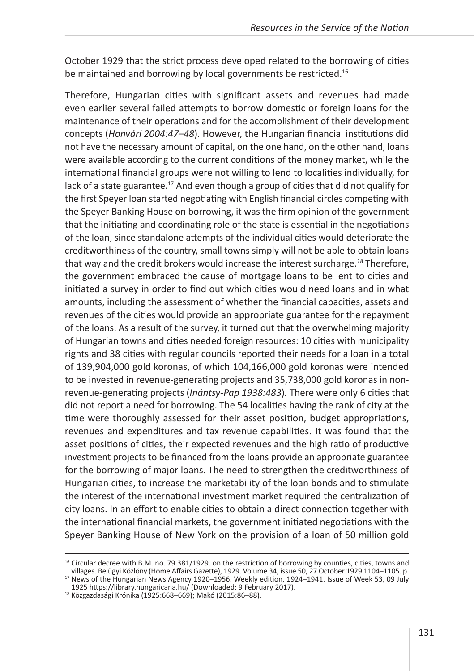October 1929 that the strict process developed related to the borrowing of cities be maintained and borrowing by local governments be restricted.<sup>16</sup>

Therefore, Hungarian cities with significant assets and revenues had made even earlier several failed attempts to borrow domestic or foreign loans for the maintenance of their operations and for the accomplishment of their development concepts (*Honvári 2004:47–48*)*.* However, the Hungarian financial institutions did not have the necessary amount of capital, on the one hand, on the other hand, loans were available according to the current conditions of the money market, while the international financial groups were not willing to lend to localities individually, for lack of a state guarantee.<sup>17</sup> And even though a group of cities that did not qualify for the first Speyer loan started negotiating with English financial circles competing with the Speyer Banking House on borrowing, it was the firm opinion of the government that the initiating and coordinating role of the state is essential in the negotiations of the loan, since standalone attempts of the individual cities would deteriorate the creditworthiness of the country, small towns simply will not be able to obtain loans that way and the credit brokers would increase the interest surcharge.*<sup>18</sup>* Therefore, the government embraced the cause of mortgage loans to be lent to cities and initiated a survey in order to find out which cities would need loans and in what amounts, including the assessment of whether the financial capacities, assets and revenues of the cities would provide an appropriate guarantee for the repayment of the loans. As a result of the survey, it turned out that the overwhelming majority of Hungarian towns and cities needed foreign resources: 10 cities with municipality rights and 38 cities with regular councils reported their needs for a loan in a total of 139,904,000 gold koronas, of which 104,166,000 gold koronas were intended to be invested in revenue-generating projects and 35,738,000 gold koronas in nonrevenue-generating projects (*Inántsy-Pap 1938:483*)*.* There were only 6 cities that did not report a need for borrowing. The 54 localities having the rank of city at the time were thoroughly assessed for their asset position, budget appropriations, revenues and expenditures and tax revenue capabilities. It was found that the asset positions of cities, their expected revenues and the high ratio of productive investment projects to be financed from the loans provide an appropriate guarantee for the borrowing of major loans. The need to strengthen the creditworthiness of Hungarian cities, to increase the marketability of the loan bonds and to stimulate the interest of the international investment market required the centralization of city loans. In an effort to enable cities to obtain a direct connection together with the international financial markets, the government initiated negotiations with the Speyer Banking House of New York on the provision of a loan of 50 million gold

<sup>&</sup>lt;sup>16</sup> Circular decree with B.M. no. 79.381/1929. on the restriction of borrowing by counties, cities, towns and villages. Belügyi Közlöny (Home Affairs Gazette), 1929. Volume 34, issue 50, 27 October 1929 1104–1105. p. <sup>17</sup> News of the Hungarian News Agency 1920–1956. Weekly edition, 1924–1941. Issue of Week 53, 09 July

<sup>1925</sup> <https://library.hungaricana.hu/> (Downloaded: 9 February 2017). <sup>18</sup> Közgazdasági Krónika (1925:668*–*669); Makó (2015:86*–*88).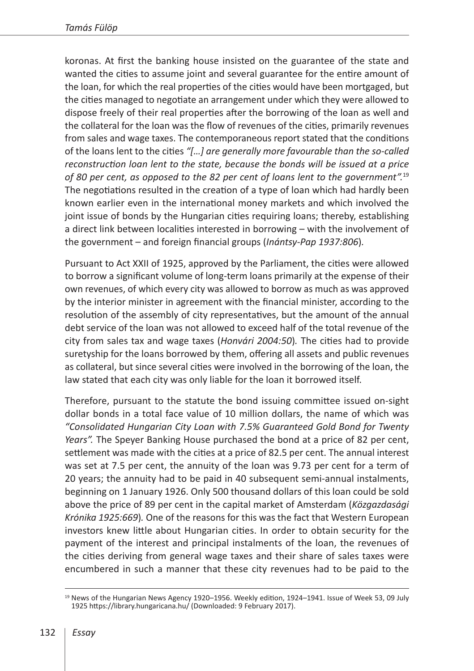koronas. At first the banking house insisted on the guarantee of the state and wanted the cities to assume joint and several guarantee for the entire amount of the loan, for which the real properties of the cities would have been mortgaged, but the cities managed to negotiate an arrangement under which they were allowed to dispose freely of their real properties after the borrowing of the loan as well and the collateral for the loan was the flow of revenues of the cities, primarily revenues from sales and wage taxes. The contemporaneous report stated that the conditions of the loans lent to the cities *"[…] are generally more favourable than the so-called reconstruction loan lent to the state, because the bonds will be issued at a price of 80 per cent, as opposed to the 82 per cent of loans lent to the government".*<sup>19</sup> The negotiations resulted in the creation of a type of loan which had hardly been known earlier even in the international money markets and which involved the joint issue of bonds by the Hungarian cities requiring loans; thereby, establishing a direct link between localities interested in borrowing – with the involvement of the government – and foreign financial groups (*Inántsy-Pap 1937:806*)*.*

Pursuant to Act XXII of 1925, approved by the Parliament, the cities were allowed to borrow a significant volume of long-term loans primarily at the expense of their own revenues, of which every city was allowed to borrow as much as was approved by the interior minister in agreement with the financial minister, according to the resolution of the assembly of city representatives, but the amount of the annual debt service of the loan was not allowed to exceed half of the total revenue of the city from sales tax and wage taxes (*Honvári 2004:50*)*.* The cities had to provide suretyship for the loans borrowed by them, offering all assets and public revenues as collateral, but since several cities were involved in the borrowing of the loan, the law stated that each city was only liable for the loan it borrowed itself.

Therefore, pursuant to the statute the bond issuing committee issued on-sight dollar bonds in a total face value of 10 million dollars, the name of which was *"Consolidated Hungarian City Loan with 7.5% Guaranteed Gold Bond for Twenty Years".* The Speyer Banking House purchased the bond at a price of 82 per cent, settlement was made with the cities at a price of 82.5 per cent. The annual interest was set at 7.5 per cent, the annuity of the loan was 9.73 per cent for a term of 20 years; the annuity had to be paid in 40 subsequent semi-annual instalments, beginning on 1 January 1926. Only 500 thousand dollars of this loan could be sold above the price of 89 per cent in the capital market of Amsterdam (*Közgazdasági Krónika 1925:669*)*.* One of the reasons for this was the fact that Western European investors knew little about Hungarian cities. In order to obtain security for the payment of the interest and principal instalments of the loan, the revenues of the cities deriving from general wage taxes and their share of sales taxes were encumbered in such a manner that these city revenues had to be paid to the

<sup>&</sup>lt;sup>19</sup> News of the Hungarian News Agency 1920–1956. Weekly edition, 1924–1941. Issue of Week 53, 09 July 1925 <https://library.hungaricana.hu/> (Downloaded: 9 February 2017).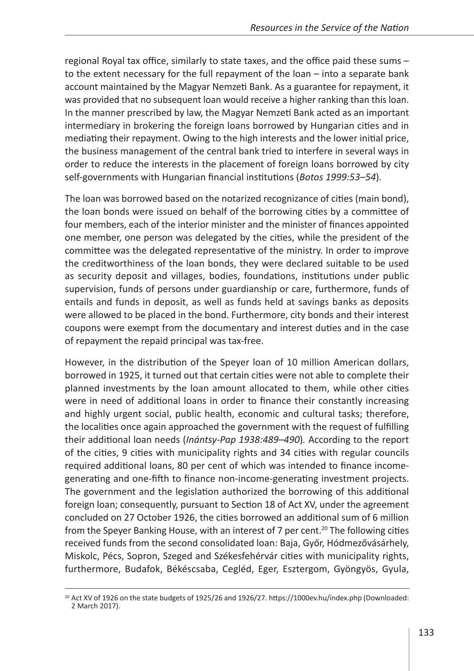regional Royal tax office, similarly to state taxes, and the office paid these sums – to the extent necessary for the full repayment of the loan – into a separate bank account maintained by the Magyar Nemzeti Bank. As a guarantee for repayment, it was provided that no subsequent loan would receive a higher ranking than this loan. In the manner prescribed by law, the Magyar Nemzeti Bank acted as an important intermediary in brokering the foreign loans borrowed by Hungarian cities and in mediating their repayment. Owing to the high interests and the lower initial price, the business management of the central bank tried to interfere in several ways in order to reduce the interests in the placement of foreign loans borrowed by city self-governments with Hungarian financial institutions (*Botos 1999:53–54*)*.*

The loan was borrowed based on the notarized recognizance of cities (main bond), the loan bonds were issued on behalf of the borrowing cities by a committee of four members, each of the interior minister and the minister of finances appointed one member, one person was delegated by the cities, while the president of the committee was the delegated representative of the ministry. In order to improve the creditworthiness of the loan bonds, they were declared suitable to be used as security deposit and villages, bodies, foundations, institutions under public supervision, funds of persons under guardianship or care, furthermore, funds of entails and funds in deposit, as well as funds held at savings banks as deposits were allowed to be placed in the bond. Furthermore, city bonds and their interest coupons were exempt from the documentary and interest duties and in the case of repayment the repaid principal was tax-free.

However, in the distribution of the Speyer loan of 10 million American dollars, borrowed in 1925, it turned out that certain cities were not able to complete their planned investments by the loan amount allocated to them, while other cities were in need of additional loans in order to finance their constantly increasing and highly urgent social, public health, economic and cultural tasks; therefore, the localities once again approached the government with the request of fulfilling their additional loan needs (*Inántsy-Pap 1938:489–490*)*.* According to the report of the cities, 9 cities with municipality rights and 34 cities with regular councils required additional loans, 80 per cent of which was intended to finance incomegenerating and one-fifth to finance non-income-generating investment projects. The government and the legislation authorized the borrowing of this additional foreign loan; consequently, pursuant to Section 18 of Act XV, under the agreement concluded on 27 October 1926, the cities borrowed an additional sum of 6 million from the Speyer Banking House, with an interest of  $7$  per cent.<sup>20</sup> The following cities received funds from the second consolidated loan: Baja, Győr, Hódmezővásárhely, Miskolc, Pécs, Sopron, Szeged and Székesfehérvár cities with municipality rights, furthermore, Budafok, Békéscsaba, Cegléd, Eger, Esztergom, Gyöngyös, Gyula,

 $^{20}$  Act XV of 1926 on the state budgets of 1925/26 and 1926/27.<https://1000ev.hu/index.php>(Downloaded: 2 March 2017).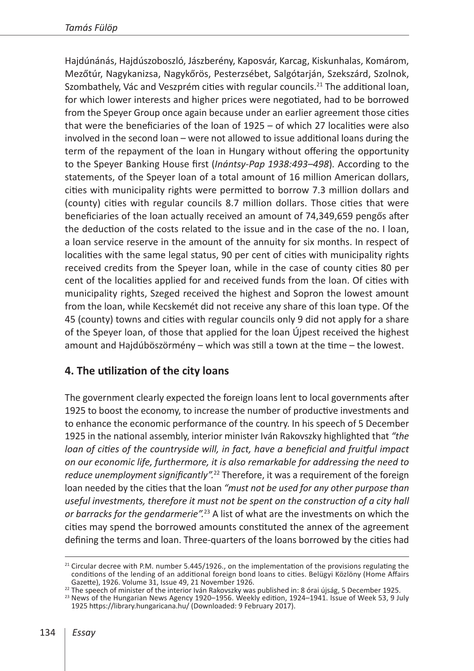Hajdúnánás, Hajdúszoboszló, Jászberény, Kaposvár, Karcag, Kiskunhalas, Komárom, Mezőtúr, Nagykanizsa, Nagykőrös, Pesterzsébet, Salgótarján, Szekszárd, Szolnok, Szombathely, Vác and Veszprém cities with regular councils.<sup>21</sup> The additional loan, for which lower interests and higher prices were negotiated, had to be borrowed from the Speyer Group once again because under an earlier agreement those cities that were the beneficiaries of the loan of 1925 – of which 27 localities were also involved in the second loan – were not allowed to issue additional loans during the term of the repayment of the loan in Hungary without offering the opportunity to the Speyer Banking House first (*Inántsy-Pap 1938:493–498*)*.* According to the statements, of the Speyer loan of a total amount of 16 million American dollars, cities with municipality rights were permitted to borrow 7.3 million dollars and (county) cities with regular councils 8.7 million dollars. Those cities that were beneficiaries of the loan actually received an amount of 74,349,659 pengős after the deduction of the costs related to the issue and in the case of the no. I loan, a loan service reserve in the amount of the annuity for six months. In respect of localities with the same legal status, 90 per cent of cities with municipality rights received credits from the Speyer loan, while in the case of county cities 80 per cent of the localities applied for and received funds from the loan. Of cities with municipality rights, Szeged received the highest and Sopron the lowest amount from the loan, while Kecskemét did not receive any share of this loan type. Of the 45 (county) towns and cities with regular councils only 9 did not apply for a share of the Speyer loan, of those that applied for the loan Újpest received the highest amount and Hajdúböszörmény – which was still a town at the time – the lowest.

### **4. The utilization of the city loans**

The government clearly expected the foreign loans lent to local governments after 1925 to boost the economy, to increase the number of productive investments and to enhance the economic performance of the country. In his speech of 5 December 1925 in the national assembly, interior minister Iván Rakovszky highlighted that *"the loan of cities of the countryside will, in fact, have a beneficial and fruitful impact on our economic life, furthermore, it is also remarkable for addressing the need to reduce unemployment significantly".*22 Therefore, it was a requirement of the foreign loan needed by the cities that the loan *"must not be used for any other purpose than useful investments, therefore it must not be spent on the construction of a city hall or barracks for the gendarmerie".*23 A list of what are the investments on which the cities may spend the borrowed amounts constituted the annex of the agreement defining the terms and loan. Three-quarters of the loans borrowed by the cities had

 $21$  Circular decree with P.M. number 5.445/1926., on the implementation of the provisions regulating the conditions of the lending of an additional foreign bond loans to cities. Belügyi Közlöny (Home Affairs

<sup>&</sup>lt;sup>22</sup> The speech of minister of the interior Iván Rakovszky was published in: 8 órai újság, 5 December 1925.<br><sup>23</sup> News of the Hungarian News Agency 1920–1956. Weekly edition, 1924–1941. Issue of Week 53, 9 July

<sup>1925</sup> <https://library.hungaricana.hu/> (Downloaded: 9 February 2017).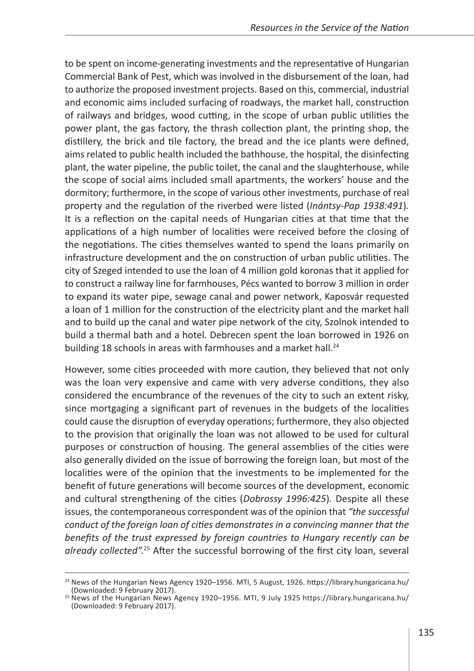to be spent on income-generating investments and the representative of Hungarian Commercial Bank of Pest, which was involved in the disbursement of the loan, had to authorize the proposed investment projects. Based on this, commercial, industrial and economic aims included surfacing of roadways, the market hall, construction of railways and bridges, wood cutting, in the scope of urban public utilities the power plant, the gas factory, the thrash collection plant, the printing shop, the distillery, the brick and tile factory, the bread and the ice plants were defined, aims related to public health included the bathhouse, the hospital, the disinfecting plant, the water pipeline, the public toilet, the canal and the slaughterhouse, while the scope of social aims included small apartments, the workers' house and the dormitory; furthermore, in the scope of various other investments, purchase of real property and the regulation of the riverbed were listed (*Inántsy-Pap 1938:491*)*.* It is a reflection on the capital needs of Hungarian cities at that time that the applications of a high number of localities were received before the closing of the negotiations. The cities themselves wanted to spend the loans primarily on infrastructure development and the on construction of urban public utilities. The city of Szeged intended to use the loan of 4 million gold koronas that it applied for to construct a railway line for farmhouses, Pécs wanted to borrow 3 million in order to expand its water pipe, sewage canal and power network, Kaposvár requested a loan of 1 million for the construction of the electricity plant and the market hall and to build up the canal and water pipe network of the city, Szolnok intended to build a thermal bath and a hotel. Debrecen spent the loan borrowed in 1926 on building 18 schools in areas with farmhouses and a market hall.<sup>24</sup>

However, some cities proceeded with more caution, they believed that not only was the loan very expensive and came with very adverse conditions, they also considered the encumbrance of the revenues of the city to such an extent risky, since mortgaging a significant part of revenues in the budgets of the localities could cause the disruption of everyday operations; furthermore, they also objected to the provision that originally the loan was not allowed to be used for cultural purposes or construction of housing. The general assemblies of the cities were also generally divided on the issue of borrowing the foreign loan, but most of the localities were of the opinion that the investments to be implemented for the benefit of future generations will become sources of the development, economic and cultural strengthening of the cities (*Dobrossy 1996:425*)*.* Despite all these issues, the contemporaneous correspondent was of the opinion that *"the successful conduct of the foreign loan of cities demonstrates in a convincing manner that the benefits of the trust expressed by foreign countries to Hungary recently can be already collected".*25 After the successful borrowing of the first city loan, several

<sup>&</sup>lt;sup>24</sup> News of the Hungarian News Agency 1920–1956. MTI, 5 August, 1926. <https://library.hungaricana.hu/><br>(Downloaded: 9 February 2017).

<sup>&</sup>lt;sup>25</sup> News of the Hungarian News Agency 1920–1956. MTI, 9 July 1925 <https://library.hungaricana.hu/> (Downloaded: 9 February 2017).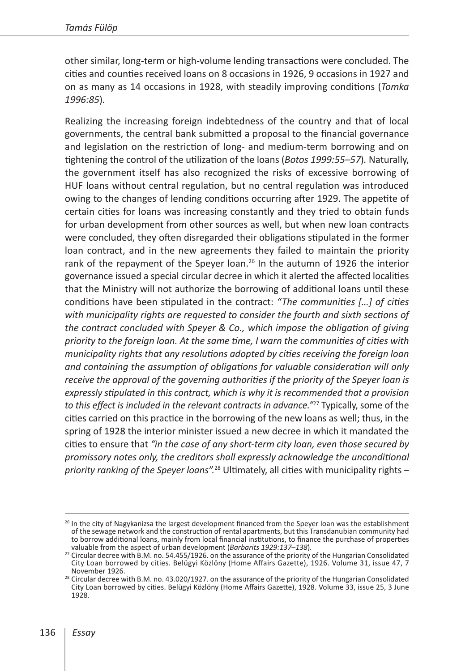other similar, long-term or high-volume lending transactions were concluded. The cities and counties received loans on 8 occasions in 1926, 9 occasions in 1927 and on as many as 14 occasions in 1928, with steadily improving conditions (*Tomka 1996:85*)*.*

Realizing the increasing foreign indebtedness of the country and that of local governments, the central bank submitted a proposal to the financial governance and legislation on the restriction of long- and medium-term borrowing and on tightening the control of the utilization of the loans (*Botos 1999:55–57*)*.* Naturally, the government itself has also recognized the risks of excessive borrowing of HUF loans without central regulation, but no central regulation was introduced owing to the changes of lending conditions occurring after 1929. The appetite of certain cities for loans was increasing constantly and they tried to obtain funds for urban development from other sources as well, but when new loan contracts were concluded, they often disregarded their obligations stipulated in the former loan contract, and in the new agreements they failed to maintain the priority rank of the repayment of the Speyer loan.<sup>26</sup> In the autumn of 1926 the interior governance issued a special circular decree in which it alerted the affected localities that the Ministry will not authorize the borrowing of additional loans until these conditions have been stipulated in the contract: *"The communities […] of cities with municipality rights are requested to consider the fourth and sixth sections of the contract concluded with Speyer & Co., which impose the obligation of giving priority to the foreign loan. At the same time, I warn the communities of cities with municipality rights that any resolutions adopted by cities receiving the foreign loan and containing the assumption of obligations for valuable consideration will only receive the approval of the governing authorities if the priority of the Speyer loan is expressly stipulated in this contract, which is why it is recommended that a provision to this effect is included in the relevant contracts in advance."*27 Typically, some of the cities carried on this practice in the borrowing of the new loans as well; thus, in the spring of 1928 the interior minister issued a new decree in which it mandated the cities to ensure that *"in the case of any short-term city loan, even those secured by promissory notes only, the creditors shall expressly acknowledge the unconditional priority ranking of the Speyer loans".*28 Ultimately, all cities with municipality rights –

<sup>&</sup>lt;sup>26</sup> In the city of Nagykanizsa the largest development financed from the Speyer loan was the establishment of the sewage network and the construction of rental apartments, but this Transdanubian community had to borrow additional loans, mainly from local financial institutions, to finance the purchase of properties valuable from the aspect of urban development (Barbarits 1929:137-138).

<sup>&</sup>lt;sup>27</sup> Circular decree with B.M. no. 54.455/1926. on the assurance of the priority of the Hungarian Consolidated City Loan borrowed by cities. Belügyi Közlöny (Home Affairs Gazette), 1926. Volume 31, issue 47, 7 November 1926.<br><sup>28</sup> Circular decree with B.M. no. 43.020/1927. on the assurance of the priority of the Hungarian Consolidated

City Loan borrowed by cities. Belügyi Közlöny (Home Affairs Gazette), 1928. Volume 33, issue 25, 3 June 1928.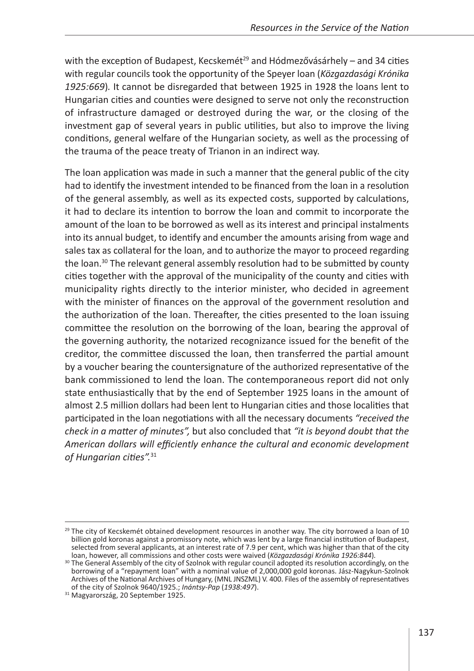with the exception of Budapest, Kecskemét<sup>29</sup> and Hódmezővásárhely – and 34 cities with regular councils took the opportunity of the Speyer loan (*Közgazdasági Krónika 1925:669*)*.* It cannot be disregarded that between 1925 in 1928 the loans lent to Hungarian cities and counties were designed to serve not only the reconstruction of infrastructure damaged or destroyed during the war, or the closing of the investment gap of several years in public utilities, but also to improve the living conditions, general welfare of the Hungarian society, as well as the processing of the trauma of the peace treaty of Trianon in an indirect way.

The loan application was made in such a manner that the general public of the city had to identify the investment intended to be financed from the loan in a resolution of the general assembly, as well as its expected costs, supported by calculations, it had to declare its intention to borrow the loan and commit to incorporate the amount of the loan to be borrowed as well as its interest and principal instalments into its annual budget, to identify and encumber the amounts arising from wage and sales tax as collateral for the loan, and to authorize the mayor to proceed regarding the loan.<sup>30</sup> The relevant general assembly resolution had to be submitted by county cities together with the approval of the municipality of the county and cities with municipality rights directly to the interior minister, who decided in agreement with the minister of finances on the approval of the government resolution and the authorization of the loan. Thereafter, the cities presented to the loan issuing committee the resolution on the borrowing of the loan, bearing the approval of the governing authority, the notarized recognizance issued for the benefit of the creditor, the committee discussed the loan, then transferred the partial amount by a voucher bearing the countersignature of the authorized representative of the bank commissioned to lend the loan. The contemporaneous report did not only state enthusiastically that by the end of September 1925 loans in the amount of almost 2.5 million dollars had been lent to Hungarian cities and those localities that participated in the loan negotiations with all the necessary documents *"received the check in a matter of minutes",* but also concluded that *"it is beyond doubt that the American dollars will efficiently enhance the cultural and economic development of Hungarian cities".*<sup>31</sup>

 $29$  The city of Kecskemét obtained development resources in another way. The city borrowed a loan of 10 billion gold koronas against a promissory note, which was lent by a large financial institution of Budapest, selected from several applicants, at an interest rate of 7.9 per cent, which was higher than that of the city<br>loan, however, all commissions and other costs were waived (Közgazdasági Krónika 1926:844).

<sup>&</sup>lt;sup>30</sup> The General Assembly of the city of Szolnok with regular council adopted its resolution accordingly, on the borrowing of a "repayment loan" with a nominal value of 2,000,000 gold koronas. Jász-Nagykun-Szolnok Archives of the National Archives of Hungary, (MNL JNSZML) V. 400. Files of the assembly of representatives of the city of Szolnok 9640/1925.; *Inántsy-Pap* (*1938:497*). <sup>31</sup> Magyarország, 20 September 1925.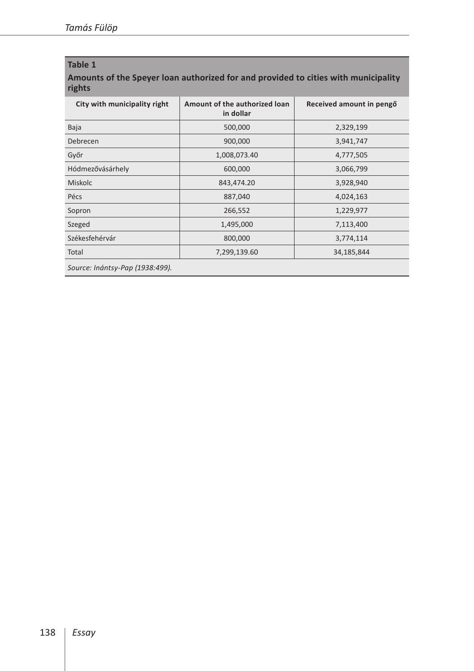#### **Table 1**

**Amounts of the Speyer loan authorized for and provided to cities with municipality rights**

| City with municipality right    | Amount of the authorized loan<br>in dollar | Received amount in pengő |
|---------------------------------|--------------------------------------------|--------------------------|
| Baja                            | 500,000                                    | 2,329,199                |
| Debrecen                        | 900,000                                    | 3,941,747                |
| Győr                            | 1,008,073.40                               | 4,777,505                |
| Hódmezővásárhely                | 600,000                                    | 3,066,799                |
| <b>Miskolc</b>                  | 843,474.20                                 | 3,928,940                |
| Pécs                            | 887,040                                    | 4,024,163                |
| Sopron                          | 266,552                                    | 1,229,977                |
| Szeged                          | 1,495,000                                  | 7,113,400                |
| Székesfehérvár                  | 800,000                                    | 3,774,114                |
| Total                           | 7,299,139.60                               | 34,185,844               |
| Source: Inántsy-Pap (1938:499). |                                            |                          |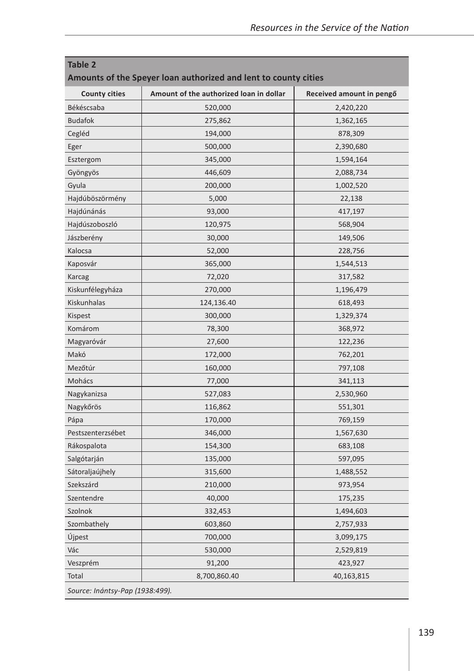| <b>Table 2</b><br>Amounts of the Speyer loan authorized and lent to county cities |                                         |                          |  |
|-----------------------------------------------------------------------------------|-----------------------------------------|--------------------------|--|
| <b>County cities</b>                                                              | Amount of the authorized loan in dollar | Received amount in pengő |  |
| Békéscsaba                                                                        | 520,000                                 | 2,420,220                |  |
| <b>Budafok</b>                                                                    | 275,862                                 | 1,362,165                |  |
| Cegléd                                                                            | 194,000                                 | 878,309                  |  |
| Eger                                                                              | 500,000                                 | 2,390,680                |  |
| Esztergom                                                                         | 345,000                                 | 1,594,164                |  |
| Gyöngyös                                                                          | 446,609                                 | 2,088,734                |  |
| Gyula                                                                             | 200,000                                 | 1,002,520                |  |
| Hajdúböszörmény                                                                   | 5,000                                   | 22,138                   |  |
| Hajdúnánás                                                                        | 93,000                                  | 417,197                  |  |
| Hajdúszoboszló                                                                    | 120,975                                 | 568,904                  |  |
| Jászberény                                                                        | 30,000                                  | 149,506                  |  |
| Kalocsa                                                                           | 52,000                                  | 228,756                  |  |
| Kaposvár                                                                          | 365,000                                 | 1,544,513                |  |
| Karcag                                                                            | 72,020                                  | 317,582                  |  |
| Kiskunfélegyháza                                                                  | 270,000                                 | 1,196,479                |  |
| Kiskunhalas                                                                       | 124,136.40                              | 618,493                  |  |
| Kispest                                                                           | 300,000                                 | 1,329,374                |  |
| Komárom                                                                           | 78,300                                  | 368,972                  |  |
| Magyaróvár                                                                        | 27,600                                  | 122,236                  |  |
| Makó                                                                              | 172,000                                 | 762,201                  |  |
| Mezőtúr                                                                           | 160,000                                 | 797,108                  |  |
| Mohács                                                                            | 77,000                                  | 341,113                  |  |
| Nagykanizsa                                                                       | 527,083                                 | 2,530,960                |  |
| Nagykőrös                                                                         | 116,862                                 | 551,301                  |  |
| Pápa                                                                              | 170,000                                 | 769,159                  |  |
| Pestszenterzsébet                                                                 | 346,000                                 | 1,567,630                |  |
| Rákospalota                                                                       | 154,300                                 | 683,108                  |  |
| Salgótarján                                                                       | 135,000                                 | 597,095                  |  |
| Sátoraljaújhely                                                                   | 315,600                                 | 1,488,552                |  |
| Szekszárd                                                                         | 210,000                                 | 973,954                  |  |
| Szentendre                                                                        | 40,000                                  | 175,235                  |  |
| Szolnok                                                                           | 332,453                                 | 1,494,603                |  |
| Szombathely                                                                       | 603,860                                 | 2,757,933                |  |
| Újpest                                                                            | 700,000                                 | 3,099,175                |  |
| Vác                                                                               | 530,000                                 | 2,529,819                |  |
| Veszprém                                                                          | 91,200                                  | 423,927                  |  |
| Total                                                                             | 8,700,860.40                            | 40,163,815               |  |
| Source: Inántsy-Pap (1938:499).                                                   |                                         |                          |  |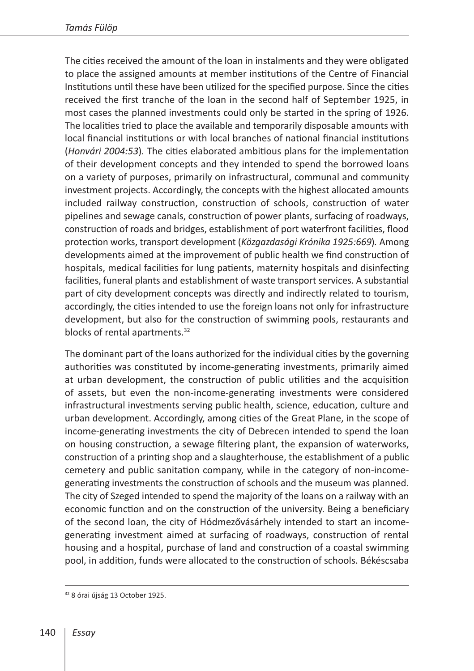The cities received the amount of the loan in instalments and they were obligated to place the assigned amounts at member institutions of the Centre of Financial Institutions until these have been utilized for the specified purpose. Since the cities received the first tranche of the loan in the second half of September 1925, in most cases the planned investments could only be started in the spring of 1926. The localities tried to place the available and temporarily disposable amounts with local financial institutions or with local branches of national financial institutions (*Honvári 2004:53*)*.* The cities elaborated ambitious plans for the implementation of their development concepts and they intended to spend the borrowed loans on a variety of purposes, primarily on infrastructural, communal and community investment projects. Accordingly, the concepts with the highest allocated amounts included railway construction, construction of schools, construction of water pipelines and sewage canals, construction of power plants, surfacing of roadways, construction of roads and bridges, establishment of port waterfront facilities, flood protection works, transport development (*Közgazdasági Krónika 1925:669*)*.* Among developments aimed at the improvement of public health we find construction of hospitals, medical facilities for lung patients, maternity hospitals and disinfecting facilities, funeral plants and establishment of waste transport services. A substantial part of city development concepts was directly and indirectly related to tourism, accordingly, the cities intended to use the foreign loans not only for infrastructure development, but also for the construction of swimming pools, restaurants and blocks of rental apartments.<sup>32</sup>

The dominant part of the loans authorized for the individual cities by the governing authorities was constituted by income-generating investments, primarily aimed at urban development, the construction of public utilities and the acquisition of assets, but even the non-income-generating investments were considered infrastructural investments serving public health, science, education, culture and urban development. Accordingly, among cities of the Great Plane, in the scope of income-generating investments the city of Debrecen intended to spend the loan on housing construction, a sewage filtering plant, the expansion of waterworks, construction of a printing shop and a slaughterhouse, the establishment of a public cemetery and public sanitation company, while in the category of non-incomegenerating investments the construction of schools and the museum was planned. The city of Szeged intended to spend the majority of the loans on a railway with an economic function and on the construction of the university. Being a beneficiary of the second loan, the city of Hódmezővásárhely intended to start an incomegenerating investment aimed at surfacing of roadways, construction of rental housing and a hospital, purchase of land and construction of a coastal swimming pool, in addition, funds were allocated to the construction of schools. Békéscsaba

<sup>32</sup> 8 órai újság 13 October 1925.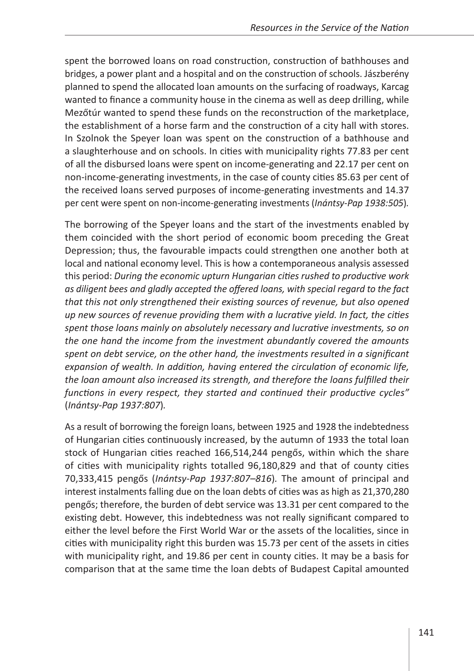spent the borrowed loans on road construction, construction of bathhouses and bridges, a power plant and a hospital and on the construction of schools. Jászberény planned to spend the allocated loan amounts on the surfacing of roadways, Karcag wanted to finance a community house in the cinema as well as deep drilling, while Mezőtúr wanted to spend these funds on the reconstruction of the marketplace, the establishment of a horse farm and the construction of a city hall with stores. In Szolnok the Speyer loan was spent on the construction of a bathhouse and a slaughterhouse and on schools. In cities with municipality rights 77.83 per cent of all the disbursed loans were spent on income-generating and 22.17 per cent on non-income-generating investments, in the case of county cities 85.63 per cent of the received loans served purposes of income-generating investments and 14.37 per cent were spent on non-income-generating investments (*Inántsy-Pap 1938:505*)*.*

The borrowing of the Speyer loans and the start of the investments enabled by them coincided with the short period of economic boom preceding the Great Depression; thus, the favourable impacts could strengthen one another both at local and national economy level. This is how a contemporaneous analysis assessed this period: *During the economic upturn Hungarian cities rushed to productive work as diligent bees and gladly accepted the offered loans, with special regard to the fact that this not only strengthened their existing sources of revenue, but also opened up new sources of revenue providing them with a lucrative yield. In fact, the cities spent those loans mainly on absolutely necessary and lucrative investments, so on the one hand the income from the investment abundantly covered the amounts spent on debt service, on the other hand, the investments resulted in a significant expansion of wealth. In addition, having entered the circulation of economic life, the loan amount also increased its strength, and therefore the loans fulfilled their functions in every respect, they started and continued their productive cycles"*  (*Inántsy-Pap 1937:807*)*.*

As a result of borrowing the foreign loans, between 1925 and 1928 the indebtedness of Hungarian cities continuously increased, by the autumn of 1933 the total loan stock of Hungarian cities reached 166,514,244 pengős, within which the share of cities with municipality rights totalled 96,180,829 and that of county cities 70,333,415 pengős (*Inántsy-Pap 1937:807–816*)*.* The amount of principal and interest instalments falling due on the loan debts of cities was as high as 21,370,280 pengős; therefore, the burden of debt service was 13.31 per cent compared to the existing debt. However, this indebtedness was not really significant compared to either the level before the First World War or the assets of the localities, since in cities with municipality right this burden was 15.73 per cent of the assets in cities with municipality right, and 19.86 per cent in county cities. It may be a basis for comparison that at the same time the loan debts of Budapest Capital amounted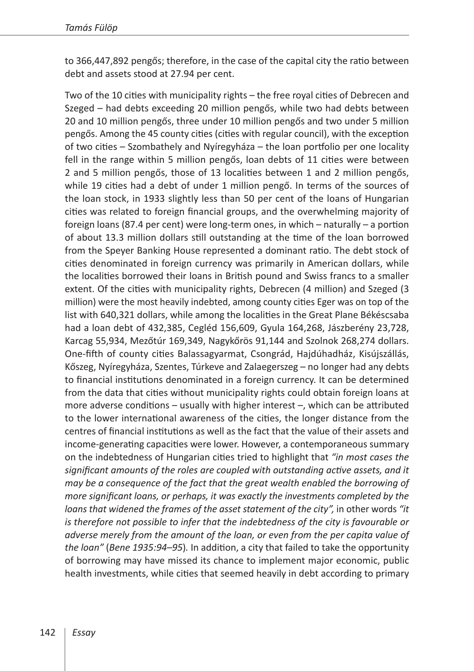to 366,447,892 pengős; therefore, in the case of the capital city the ratio between debt and assets stood at 27.94 per cent.

Two of the 10 cities with municipality rights – the free royal cities of Debrecen and Szeged – had debts exceeding 20 million pengős, while two had debts between 20 and 10 million pengős, three under 10 million pengős and two under 5 million pengős. Among the 45 county cities (cities with regular council), with the exception of two cities – Szombathely and Nyíregyháza – the loan portfolio per one locality fell in the range within 5 million pengős, loan debts of 11 cities were between 2 and 5 million pengős, those of 13 localities between 1 and 2 million pengős, while 19 cities had a debt of under 1 million pengő. In terms of the sources of the loan stock, in 1933 slightly less than 50 per cent of the loans of Hungarian cities was related to foreign financial groups, and the overwhelming majority of foreign loans (87.4 per cent) were long-term ones, in which – naturally – a portion of about 13.3 million dollars still outstanding at the time of the loan borrowed from the Speyer Banking House represented a dominant ratio. The debt stock of cities denominated in foreign currency was primarily in American dollars, while the localities borrowed their loans in British pound and Swiss francs to a smaller extent. Of the cities with municipality rights, Debrecen (4 million) and Szeged (3 million) were the most heavily indebted, among county cities Eger was on top of the list with 640,321 dollars, while among the localities in the Great Plane Békéscsaba had a loan debt of 432,385, Cegléd 156,609, Gyula 164,268, Jászberény 23,728, Karcag 55,934, Mezőtúr 169,349, Nagykőrös 91,144 and Szolnok 268,274 dollars. One-fifth of county cities Balassagyarmat, Csongrád, Hajdúhadház, Kisújszállás, Kőszeg, Nyíregyháza, Szentes, Túrkeve and Zalaegerszeg – no longer had any debts to financial institutions denominated in a foreign currency. It can be determined from the data that cities without municipality rights could obtain foreign loans at more adverse conditions – usually with higher interest –, which can be attributed to the lower international awareness of the cities, the longer distance from the centres of financial institutions as well as the fact that the value of their assets and income-generating capacities were lower. However, a contemporaneous summary on the indebtedness of Hungarian cities tried to highlight that *"in most cases the significant amounts of the roles are coupled with outstanding active assets, and it may be a consequence of the fact that the great wealth enabled the borrowing of more significant loans, or perhaps, it was exactly the investments completed by the*  loans that widened the frames of the asset statement of the city", in other words "it *is therefore not possible to infer that the indebtedness of the city is favourable or adverse merely from the amount of the loan, or even from the per capita value of the loan"* (*Bene 1935:94–95*)*.* In addition, a city that failed to take the opportunity of borrowing may have missed its chance to implement major economic, public health investments, while cities that seemed heavily in debt according to primary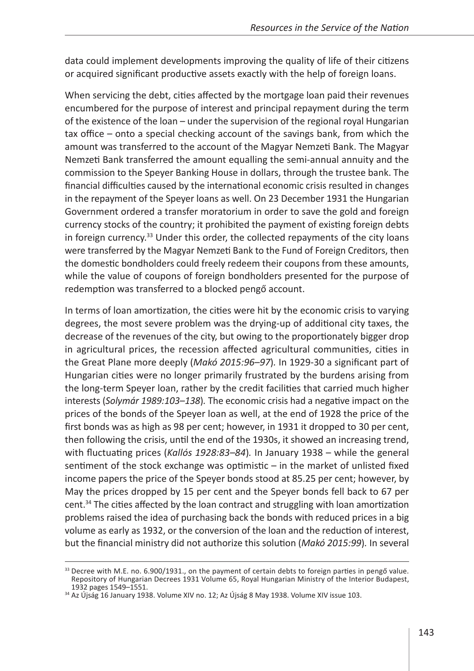data could implement developments improving the quality of life of their citizens or acquired significant productive assets exactly with the help of foreign loans.

When servicing the debt, cities affected by the mortgage loan paid their revenues encumbered for the purpose of interest and principal repayment during the term of the existence of the loan – under the supervision of the regional royal Hungarian tax office – onto a special checking account of the savings bank, from which the amount was transferred to the account of the Magyar Nemzeti Bank. The Magyar Nemzeti Bank transferred the amount equalling the semi-annual annuity and the commission to the Speyer Banking House in dollars, through the trustee bank. The financial difficulties caused by the international economic crisis resulted in changes in the repayment of the Speyer loans as well. On 23 December 1931 the Hungarian Government ordered a transfer moratorium in order to save the gold and foreign currency stocks of the country; it prohibited the payment of existing foreign debts in foreign currency.<sup>33</sup> Under this order, the collected repayments of the city loans were transferred by the Magyar Nemzeti Bank to the Fund of Foreign Creditors, then the domestic bondholders could freely redeem their coupons from these amounts, while the value of coupons of foreign bondholders presented for the purpose of redemption was transferred to a blocked pengő account.

In terms of loan amortization, the cities were hit by the economic crisis to varying degrees, the most severe problem was the drying-up of additional city taxes, the decrease of the revenues of the city, but owing to the proportionately bigger drop in agricultural prices, the recession affected agricultural communities, cities in the Great Plane more deeply (*Makó 2015:96–97*)*.* In 1929-30 a significant part of Hungarian cities were no longer primarily frustrated by the burdens arising from the long-term Speyer loan, rather by the credit facilities that carried much higher interests (*Solymár 1989:103–138*)*.* The economic crisis had a negative impact on the prices of the bonds of the Speyer loan as well, at the end of 1928 the price of the first bonds was as high as 98 per cent; however, in 1931 it dropped to 30 per cent, then following the crisis, until the end of the 1930s, it showed an increasing trend, with fluctuating prices (*Kallós 1928:83–84*)*.* In January 1938 – while the general sentiment of the stock exchange was optimistic  $-$  in the market of unlisted fixed income papers the price of the Speyer bonds stood at 85.25 per cent; however, by May the prices dropped by 15 per cent and the Speyer bonds fell back to 67 per cent.34 The cities affected by the loan contract and struggling with loan amortization problems raised the idea of purchasing back the bonds with reduced prices in a big volume as early as 1932, or the conversion of the loan and the reduction of interest, but the financial ministry did not authorize this solution (*Makó 2015:99*)*.* In several

<sup>&</sup>lt;sup>33</sup> Decree with M.E. no. 6.900/1931., on the payment of certain debts to foreign parties in pengő value. Repository of Hungarian Decrees 1931 Volume 65, Royal Hungarian Ministry of the Interior Budapest,<br>1932 pages 1549–1551.

 $34$  Az Újság 16 January 1938. Volume XIV no. 12; Az Újság 8 May 1938. Volume XIV issue 103.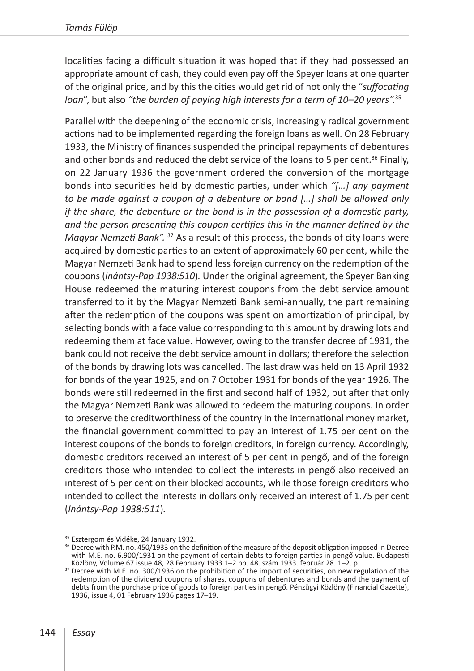localities facing a difficult situation it was hoped that if they had possessed an appropriate amount of cash, they could even pay off the Speyer loans at one quarter of the original price, and by this the cities would get rid of not only the "*suffocating loan*", but also *"the burden of paying high interests for a term of 10–20 years".*<sup>35</sup>

Parallel with the deepening of the economic crisis, increasingly radical government actions had to be implemented regarding the foreign loans as well. On 28 February 1933, the Ministry of finances suspended the principal repayments of debentures and other bonds and reduced the debt service of the loans to 5 per cent.<sup>36</sup> Finally, on 22 January 1936 the government ordered the conversion of the mortgage bonds into securities held by domestic parties, under which *"[…] any payment to be made against a coupon of a debenture or bond […] shall be allowed only if the share, the debenture or the bond is in the possession of a domestic party, and the person presenting this coupon certifies this in the manner defined by the Magyar Nemzeti Bank".* 37 As a result of this process, the bonds of city loans were acquired by domestic parties to an extent of approximately 60 per cent, while the Magyar Nemzeti Bank had to spend less foreign currency on the redemption of the coupons (*Inántsy-Pap 1938:510*)*.* Under the original agreement, the Speyer Banking House redeemed the maturing interest coupons from the debt service amount transferred to it by the Magyar Nemzeti Bank semi-annually, the part remaining after the redemption of the coupons was spent on amortization of principal, by selecting bonds with a face value corresponding to this amount by drawing lots and redeeming them at face value. However, owing to the transfer decree of 1931, the bank could not receive the debt service amount in dollars; therefore the selection of the bonds by drawing lots was cancelled. The last draw was held on 13 April 1932 for bonds of the year 1925, and on 7 October 1931 for bonds of the year 1926. The bonds were still redeemed in the first and second half of 1932, but after that only the Magyar Nemzeti Bank was allowed to redeem the maturing coupons. In order to preserve the creditworthiness of the country in the international money market, the financial government committed to pay an interest of 1.75 per cent on the interest coupons of the bonds to foreign creditors, in foreign currency. Accordingly, domestic creditors received an interest of 5 per cent in pengő, and of the foreign creditors those who intended to collect the interests in pengő also received an interest of 5 per cent on their blocked accounts, while those foreign creditors who intended to collect the interests in dollars only received an interest of 1.75 per cent (*Inántsy-Pap 1938:511*)*.*

<sup>&</sup>lt;sup>35</sup> Esztergom és Vidéke, 24 January 1932.<br><sup>36</sup> Decree with P.M. no. 450/1933 on the definition of the measure of the deposit obligation imposed in Decree with M.E. no. 6.900/1931 on the payment of certain debts to foreign parties in pengő value. Budapesti<br>Közlöny, Volume 67 issue 48, 28 February 1933 1–2 pp. 48. szám 1933. február 28. 1–2. p.

<sup>&</sup>lt;sup>37</sup> Decree with M.E. no. 300/1936 on the prohibition of the import of securities, on new regulation of the redemption of the dividend coupons of shares, coupons of debentures and bonds and the payment of debts from the purchase price of goods to foreign parties in pengő. Pénzügyi Közlöny (Financial Gazette), 1936, issue 4, 01 February 1936 pages 17–19.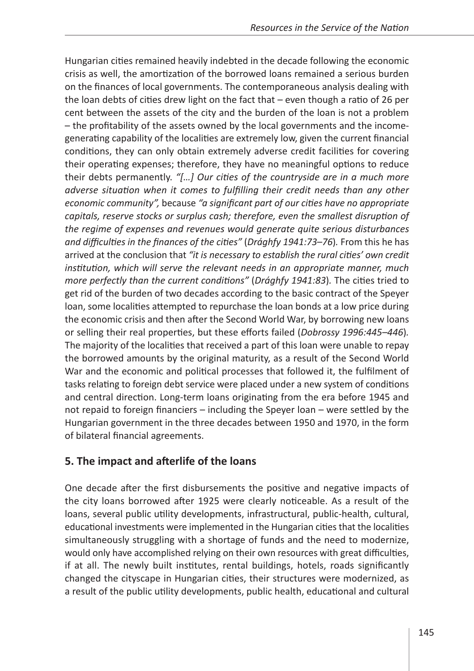Hungarian cities remained heavily indebted in the decade following the economic crisis as well, the amortization of the borrowed loans remained a serious burden on the finances of local governments. The contemporaneous analysis dealing with the loan debts of cities drew light on the fact that – even though a ratio of 26 per cent between the assets of the city and the burden of the loan is not a problem – the profitability of the assets owned by the local governments and the incomegenerating capability of the localities are extremely low, given the current financial conditions, they can only obtain extremely adverse credit facilities for covering their operating expenses; therefore, they have no meaningful options to reduce their debts permanently. *"[…] Our cities of the countryside are in a much more adverse situation when it comes to fulfilling their credit needs than any other economic community",* because *"a significant part of our cities have no appropriate capitals, reserve stocks or surplus cash; therefore, even the smallest disruption of the regime of expenses and revenues would generate quite serious disturbances and difficulties in the finances of the cities"* (*Drághfy 1941:73–76*)*.* From this he has arrived at the conclusion that *"it is necessary to establish the rural cities' own credit institution, which will serve the relevant needs in an appropriate manner, much more perfectly than the current conditions"* (*Drághfy 1941:83*)*.* The cities tried to get rid of the burden of two decades according to the basic contract of the Speyer loan, some localities attempted to repurchase the loan bonds at a low price during the economic crisis and then after the Second World War, by borrowing new loans or selling their real properties, but these efforts failed (*Dobrossy 1996:445–446*)*.* The majority of the localities that received a part of this loan were unable to repay the borrowed amounts by the original maturity, as a result of the Second World War and the economic and political processes that followed it, the fulfilment of tasks relating to foreign debt service were placed under a new system of conditions and central direction. Long-term loans originating from the era before 1945 and not repaid to foreign financiers – including the Speyer loan – were settled by the Hungarian government in the three decades between 1950 and 1970, in the form of bilateral financial agreements.

### **5. The impact and afterlife of the loans**

One decade after the first disbursements the positive and negative impacts of the city loans borrowed after 1925 were clearly noticeable. As a result of the loans, several public utility developments, infrastructural, public-health, cultural, educational investments were implemented in the Hungarian cities that the localities simultaneously struggling with a shortage of funds and the need to modernize, would only have accomplished relying on their own resources with great difficulties, if at all. The newly built institutes, rental buildings, hotels, roads significantly changed the cityscape in Hungarian cities, their structures were modernized, as a result of the public utility developments, public health, educational and cultural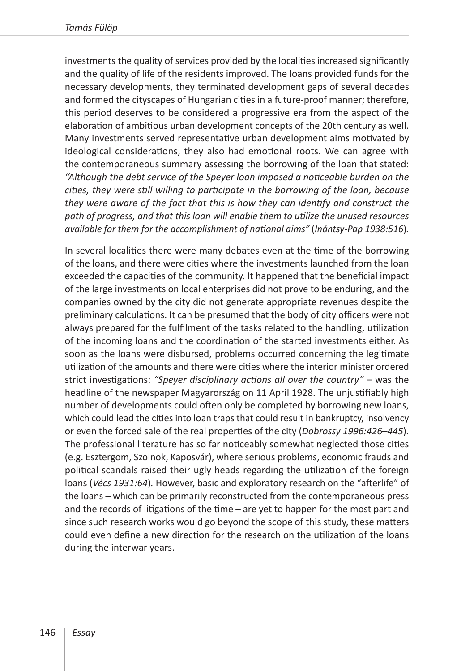investments the quality of services provided by the localities increased significantly and the quality of life of the residents improved. The loans provided funds for the necessary developments, they terminated development gaps of several decades and formed the cityscapes of Hungarian cities in a future-proof manner; therefore, this period deserves to be considered a progressive era from the aspect of the elaboration of ambitious urban development concepts of the 20th century as well. Many investments served representative urban development aims motivated by ideological considerations, they also had emotional roots. We can agree with the contemporaneous summary assessing the borrowing of the loan that stated: *"Although the debt service of the Speyer loan imposed a noticeable burden on the cities, they were still willing to participate in the borrowing of the loan, because they were aware of the fact that this is how they can identify and construct the path of progress, and that this loan will enable them to utilize the unused resources available for them for the accomplishment of national aims"* (*Inántsy-Pap 1938:516*)*.*

In several localities there were many debates even at the time of the borrowing of the loans, and there were cities where the investments launched from the loan exceeded the capacities of the community. It happened that the beneficial impact of the large investments on local enterprises did not prove to be enduring, and the companies owned by the city did not generate appropriate revenues despite the preliminary calculations. It can be presumed that the body of city officers were not always prepared for the fulfilment of the tasks related to the handling, utilization of the incoming loans and the coordination of the started investments either. As soon as the loans were disbursed, problems occurred concerning the legitimate utilization of the amounts and there were cities where the interior minister ordered strict investigations: *"Speyer disciplinary actions all over the country"* – was the headline of the newspaper Magyarország on 11 April 1928. The unjustifiably high number of developments could often only be completed by borrowing new loans, which could lead the cities into loan traps that could result in bankruptcy, insolvency or even the forced sale of the real properties of the city (*Dobrossy 1996:426*–*445*)*.* The professional literature has so far noticeably somewhat neglected those cities (e.g. Esztergom, Szolnok, Kaposvár), where serious problems, economic frauds and political scandals raised their ugly heads regarding the utilization of the foreign loans (*Vécs 1931:64*)*.* However, basic and exploratory research on the "afterlife" of the loans – which can be primarily reconstructed from the contemporaneous press and the records of litigations of the time – are yet to happen for the most part and since such research works would go beyond the scope of this study, these matters could even define a new direction for the research on the utilization of the loans during the interwar years.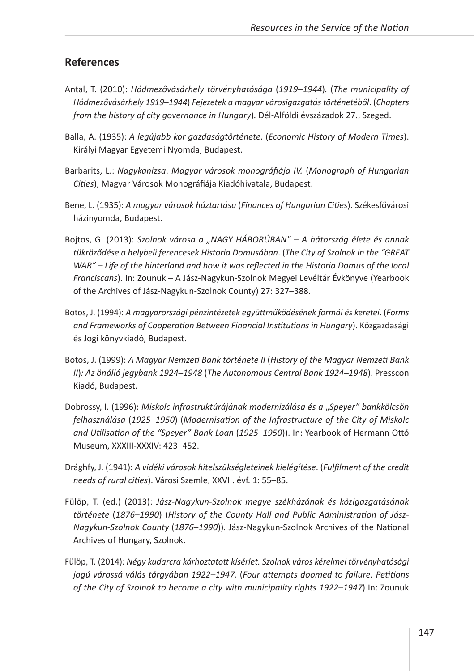#### **References**

- Antal, T. (2010): *Hódmezővásárhely törvényhatósága* (*1919*–*1944*)*.* (*The municipality of Hódmezővásárhely 1919*–*1944*) *Fejezetek a magyar városigazgatás történetéből*. (*Chapters from the history of city governance in Hungary*)*.* Dél-Alföldi évszázadok 27., Szeged.
- Balla, A. (1935): *A legújabb kor gazdaságtörténete*. (*Economic History of Modern Times*). Királyi Magyar Egyetemi Nyomda, Budapest.
- Barbarits, L.: *Nagykanizsa*. *Magyar városok monográfiája IV.* (*Monograph of Hungarian Cities*), Magyar Városok Monográfiája Kiadóhivatala, Budapest.
- Bene, L. (1935): *A magyar városok háztartása* (*Finances of Hungarian Cities*). Székesfővárosi házinyomda, Budapest.
- Bojtos, G. (2013): *Szolnok városa a "NAGY HÁBORÚBAN" A hátország élete és annak tükröződése a helybeli ferencesek Historia Domusában*. (*The City of Szolnok in the "GREAT WAR" – Life of the hinterland and how it was reflected in the Historia Domus of the local Franciscans*). In: Zounuk – A Jász-Nagykun-Szolnok Megyei Levéltár Évkönyve (Yearbook of the Archives of Jász-Nagykun-Szolnok County) 27: 327–388.
- Botos, J. (1994): *A magyarországi pénzintézetek együttműködésének formái és keretei*. (*Forms and Frameworks of Cooperation Between Financial Institutions in Hungary*). Közgazdasági és Jogi könyvkiadó, Budapest.
- Botos, J. (1999): *A Magyar Nemzeti Bank története II* (*History of the Magyar Nemzeti Bank II*)*: Az önálló jegybank 1924–1948* (*The Autonomous Central Bank 1924–1948*). Presscon Kiadó, Budapest.
- Dobrossy, I. (1996): *Miskolc infrastruktúrájának modernizálása és a* "*Speyer" bankkölcsön felhasználása* (*1925*–*1950*) (*Modernisation of the Infrastructure of the City of Miskolc and Utilisation of the "Speyer" Bank Loan* (*1925*–*1950*)). In: Yearbook of Hermann Ottó Museum, XXXIII-XXXIV: 423–452.
- Drághfy, J. (1941): *A vidéki városok hitelszükségleteinek kielégítése*. (*Fulfilment of the credit needs of rural cities*). Városi Szemle, XXVII. évf. 1: 55–85.
- Fülöp, T. (ed.) (2013): *Jász-Nagykun-Szolnok megye székházának és közigazgatásának története* (*1876*–*1990*) (*History of the County Hall and Public Administration of Jász-Nagykun-Szolnok County* (*1876*–*1990*)). Jász-Nagykun-Szolnok Archives of the National Archives of Hungary, Szolnok.
- Fülöp, T. (2014): *Négy kudarcra kárhoztatott kísérlet. Szolnok város kérelmei törvényhatósági jogú várossá válás tárgyában 1922–1947.* (*Four attempts doomed to failure. Petitions of the City of Szolnok to become a city with municipality rights 1922–1947*) In: Zounuk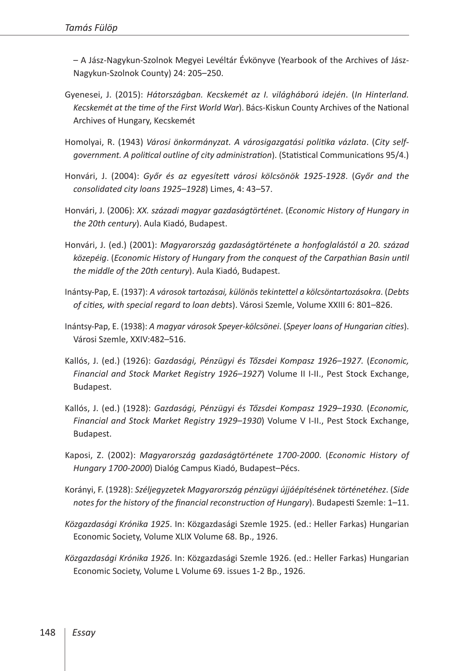– A Jász-Nagykun-Szolnok Megyei Levéltár Évkönyve (Yearbook of the Archives of Jász-Nagykun-Szolnok County) 24: 205–250.

- Gyenesei, J. (2015): *Hátországban. Kecskemét az I. világháború idején*. (*In Hinterland. Kecskemét at the time of the First World War*). Bács-Kiskun County Archives of the National Archives of Hungary, Kecskemét
- Homolyai, R. (1943) *Városi önkormányzat. A városigazgatási politika vázlata*. (*City selfgovernment. A political outline of city administration*). (Statistical Communications 95/4.)
- Honvári, J. (2004): *Győr és az egyesített városi kölcsönök 1925-1928*. (*Győr and the consolidated city loans 1925–1928*) Limes, 4: 43–57.
- Honvári, J. (2006): *XX. századi magyar gazdaságtörténet*. (*Economic History of Hungary in the 20th century*). Aula Kiadó, Budapest.
- Honvári, J. (ed.) (2001): *Magyarország gazdaságtörténete a honfoglalástól a 20. század közepéig*. (*Economic History of Hungary from the conquest of the Carpathian Basin until the middle of the 20th century*). Aula Kiadó, Budapest.
- Inántsy-Pap, E. (1937): *A városok tartozásai, különös tekintettel a kölcsöntartozásokra*. (*Debts of cities, with special regard to loan debts*). Városi Szemle, Volume XXIII 6: 801–826.
- Inántsy-Pap, E. (1938): *A magyar városok Speyer-kölcsönei*. (*Speyer loans of Hungarian cities*). Városi Szemle, XXIV:482–516.
- Kallós, J. (ed.) (1926): *Gazdasági, Pénzügyi és Tőzsdei Kompasz 1926–1927.* (*Economic, Financial and Stock Market Registry 1926–1927*) Volume II I-II., Pest Stock Exchange, Budapest.
- Kallós, J. (ed.) (1928): *Gazdasági, Pénzügyi és Tőzsdei Kompasz 1929–1930.* (*Economic, Financial and Stock Market Registry 1929–1930*) Volume V I-II., Pest Stock Exchange, Budapest.
- Kaposi, Z. (2002): *Magyarország gazdaságtörténete 1700-2000*. (*Economic History of Hungary 1700-2000*) Dialóg Campus Kiadó, Budapest–Pécs.
- Korányi, F. (1928): *Széljegyzetek Magyarország pénzügyi újjáépítésének történetéhez*. (*Side notes for the history of the financial reconstruction of Hungary*). Budapesti Szemle: 1–11.
- *Közgazdasági Krónika 1925*. In: Közgazdasági Szemle 1925. (ed.: Heller Farkas) Hungarian Economic Society, Volume XLIX Volume 68. Bp., 1926.
- *Közgazdasági Krónika 1926*. In: Közgazdasági Szemle 1926. (ed.: Heller Farkas) Hungarian Economic Society, Volume L Volume 69. issues 1-2 Bp., 1926.